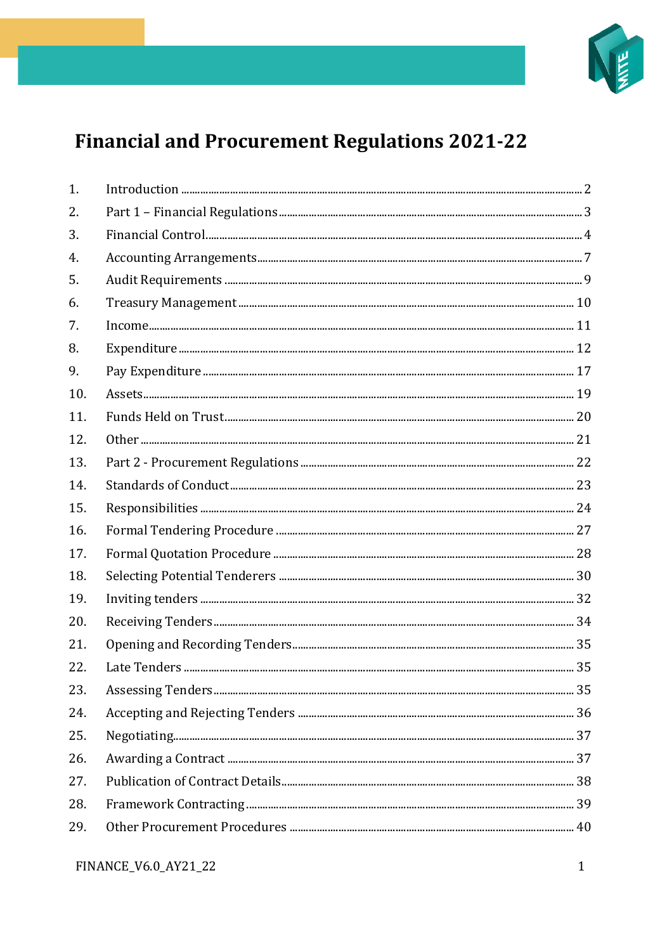

## **Financial and Procurement Regulations 2021-22**

| 1.  |  |
|-----|--|
| 2.  |  |
| 3.  |  |
| 4.  |  |
| 5.  |  |
| 6.  |  |
| 7.  |  |
| 8.  |  |
| 9.  |  |
| 10. |  |
| 11. |  |
| 12. |  |
| 13. |  |
| 14. |  |
| 15. |  |
| 16. |  |
| 17. |  |
| 18. |  |
| 19. |  |
| 20. |  |
| 21. |  |
| 22. |  |
| 23. |  |
| 24. |  |
| 25. |  |
| 26. |  |
| 27. |  |
| 28. |  |
| 29. |  |
|     |  |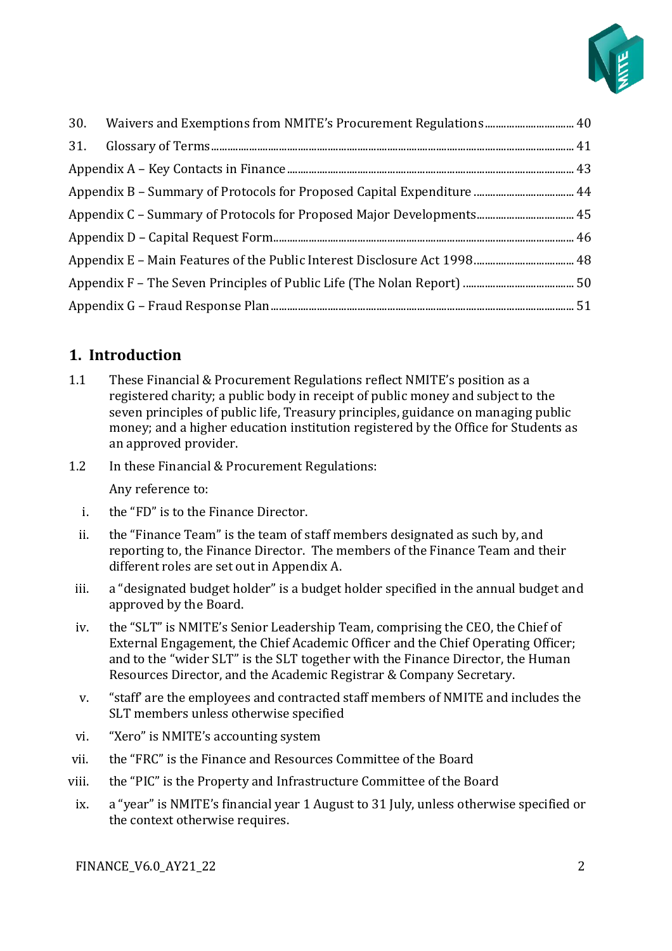

## <span id="page-1-0"></span>**1. Introduction**

- 1.1 These Financial & Procurement Regulations reflect NMITE's position as a registered charity; a public body in receipt of public money and subject to the seven principles of public life, Treasury principles, guidance on managing public money; and a higher education institution registered by the Office for Students as an approved provider.
- 1.2 In these Financial & Procurement Regulations: Any reference to:
	- i. the "FD" is to the Finance Director.
	- ii. the "Finance Team" is the team of staff members designated as such by, and reporting to, the Finance Director. The members of the Finance Team and their different roles are set out in Appendix A.
- iii. a "designated budget holder" is a budget holder specified in the annual budget and approved by the Board.
- iv. the "SLT" is NMITE's Senior Leadership Team, comprising the CEO, the Chief of External Engagement, the Chief Academic Officer and the Chief Operating Officer; and to the "wider SLT" is the SLT together with the Finance Director, the Human Resources Director, and the Academic Registrar & Company Secretary.
- v. "staff' are the employees and contracted staff members of NMITE and includes the SLT members unless otherwise specified
- vi. "Xero" is NMITE's accounting system
- vii. the "FRC" is the Finance and Resources Committee of the Board
- viii. the "PIC" is the Property and Infrastructure Committee of the Board
- ix. a "year" is NMITE's financial year 1 August to 31 July, unless otherwise specified or the context otherwise requires.

FINANCE\_V6.0\_AY21\_22 2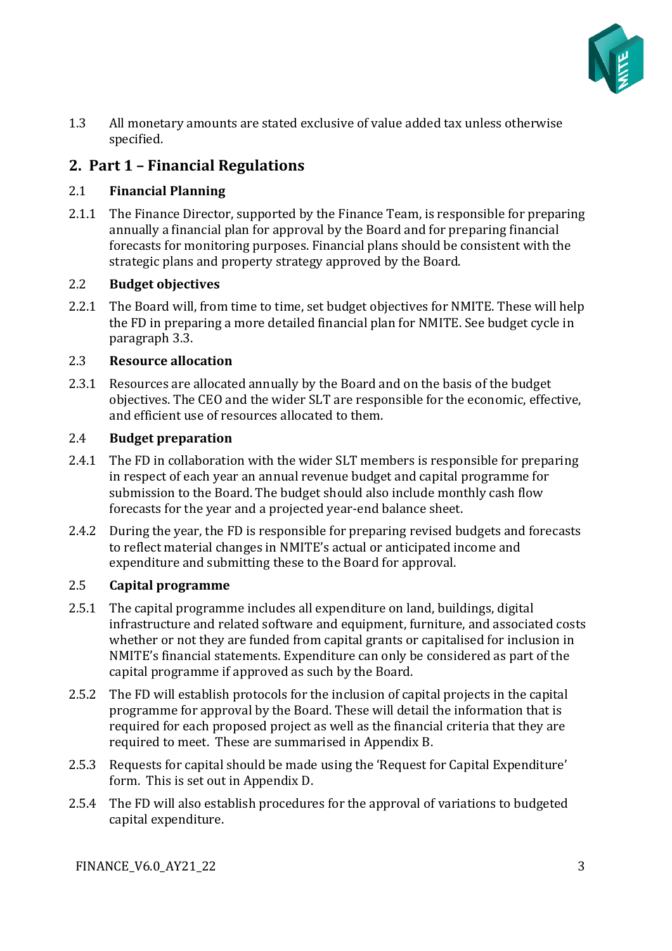

1.3 All monetary amounts are stated exclusive of value added tax unless otherwise specified.

## <span id="page-2-0"></span>**2. Part 1 – Financial Regulations**

#### 2.1 **Financial Planning**

2.1.1 The Finance Director, supported by the Finance Team, is responsible for preparing annually a financial plan for approval by the Board and for preparing financial forecasts for monitoring purposes. Financial plans should be consistent with the strategic plans and property strategy approved by the Board.

#### 2.2 **Budget objectives**

2.2.1 The Board will, from time to time, set budget objectives for NMITE. These will help the FD in preparing a more detailed financial plan for NMITE. See budget cycle in paragraph 3.3.

#### 2.3 **Resource allocation**

2.3.1 Resources are allocated annually by the Board and on the basis of the budget objectives. The CEO and the wider SLT are responsible for the economic, effective, and efficient use of resources allocated to them.

#### 2.4 **Budget preparation**

- 2.4.1 The FD in collaboration with the wider SLT members is responsible for preparing in respect of each year an annual revenue budget and capital programme for submission to the Board. The budget should also include monthly cash flow forecasts for the year and a projected year-end balance sheet.
- 2.4.2 During the year, the FD is responsible for preparing revised budgets and forecasts to reflect material changes in NMITE's actual or anticipated income and expenditure and submitting these to the Board for approval.

#### 2.5 **Capital programme**

- 2.5.1 The capital programme includes all expenditure on land, buildings, digital infrastructure and related software and equipment, furniture, and associated costs whether or not they are funded from capital grants or capitalised for inclusion in NMITE's financial statements. Expenditure can only be considered as part of the capital programme if approved as such by the Board.
- 2.5.2 The FD will establish protocols for the inclusion of capital projects in the capital programme for approval by the Board. These will detail the information that is required for each proposed project as well as the financial criteria that they are required to meet. These are summarised in Appendix B.
- 2.5.3 Requests for capital should be made using the 'Request for Capital Expenditure' form. This is set out in Appendix D.
- 2.5.4 The FD will also establish procedures for the approval of variations to budgeted capital expenditure.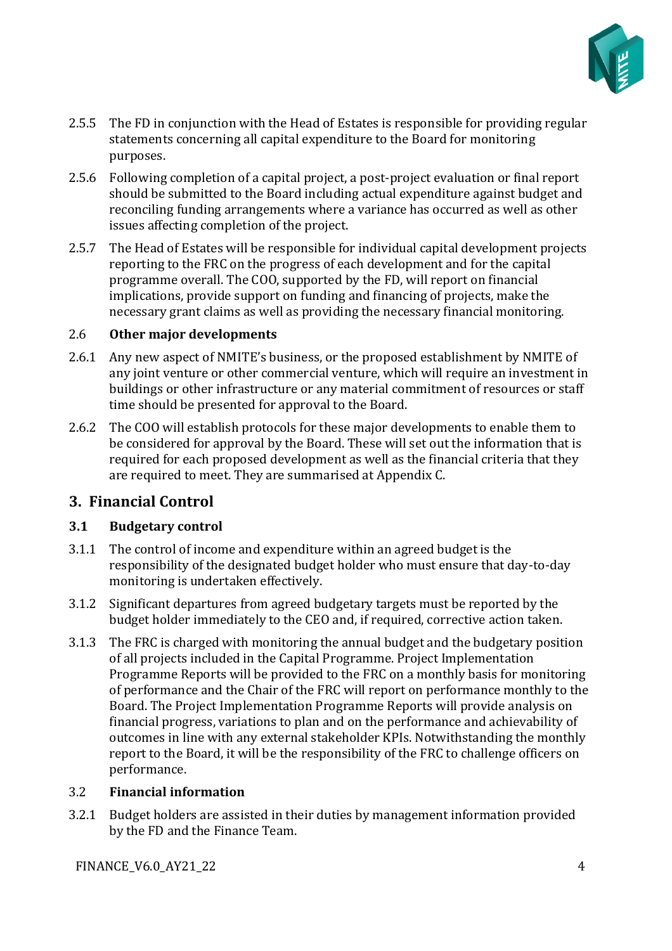

- 2.5.5 The FD in conjunction with the Head of Estates is responsible for providing regular statements concerning all capital expenditure to the Board for monitoring purposes.
- 2.5.6 Following completion of a capital project, a post-project evaluation or final report should be submitted to the Board including actual expenditure against budget and reconciling funding arrangements where a variance has occurred as well as other issues affecting completion of the project.
- 2.5.7 The Head of Estates will be responsible for individual capital development projects reporting to the FRC on the progress of each development and for the capital programme overall. The COO, supported by the FD, will report on financial implications, provide support on funding and financing of projects, make the necessary grant claims as well as providing the necessary financial monitoring.

#### 2.6 **Other major developments**

- 2.6.1 Any new aspect of NMITE's business, or the proposed establishment by NMITE of any joint venture or other commercial venture, which will require an investment in buildings or other infrastructure or any material commitment of resources or staff time should be presented for approval to the Board.
- 2.6.2 The COO will establish protocols for these major developments to enable them to be considered for approval by the Board. These will set out the information that is required for each proposed development as well as the financial criteria that they are required to meet. They are summarised at Appendix C.

## <span id="page-3-0"></span>**3. Financial Control**

#### **3.1 Budgetary control**

- 3.1.1 The control of income and expenditure within an agreed budget is the responsibility of the designated budget holder who must ensure that day-to-day monitoring is undertaken effectively.
- 3.1.2 Significant departures from agreed budgetary targets must be reported by the budget holder immediately to the CEO and, if required, corrective action taken.
- 3.1.3 The FRC is charged with monitoring the annual budget and the budgetary position of all projects included in the Capital Programme. Project Implementation Programme Reports will be provided to the FRC on a monthly basis for monitoring of performance and the Chair of the FRC will report on performance monthly to the Board. The Project Implementation Programme Reports will provide analysis on financial progress, variations to plan and on the performance and achievability of outcomes in line with any external stakeholder KPIs. Notwithstanding the monthly report to the Board, it will be the responsibility of the FRC to challenge officers on performance.

#### 3.2 **Financial information**

3.2.1 Budget holders are assisted in their duties by management information provided by the FD and the Finance Team.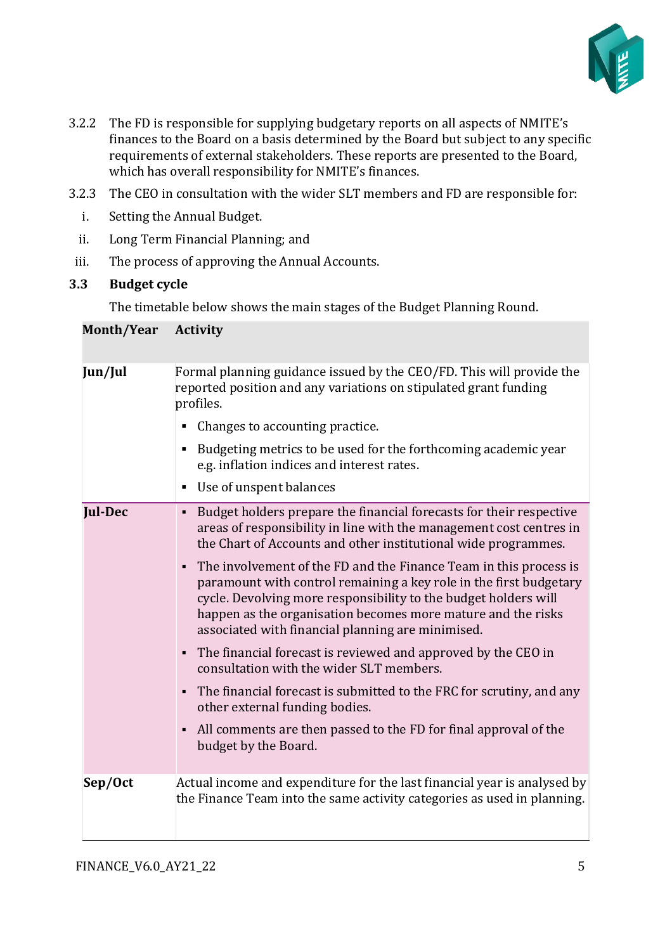

- 3.2.2 The FD is responsible for supplying budgetary reports on all aspects of NMITE's finances to the Board on a basis determined by the Board but subject to any specific requirements of external stakeholders. These reports are presented to the Board, which has overall responsibility for NMITE's finances.
- 3.2.3 The CEO in consultation with the wider SLT members and FD are responsible for:
	- i. Setting the Annual Budget.
	- ii. Long Term Financial Planning; and
- iii. The process of approving the Annual Accounts.

#### **3.3 Budget cycle**

The timetable below shows the main stages of the Budget Planning Round.

#### **Month/Year Activity**

| Jun/Jul        | Formal planning guidance issued by the CEO/FD. This will provide the<br>reported position and any variations on stipulated grant funding<br>profiles.                                                                                                                                                                           |
|----------------|---------------------------------------------------------------------------------------------------------------------------------------------------------------------------------------------------------------------------------------------------------------------------------------------------------------------------------|
|                | Changes to accounting practice.                                                                                                                                                                                                                                                                                                 |
|                | Budgeting metrics to be used for the forthcoming academic year<br>e.g. inflation indices and interest rates.                                                                                                                                                                                                                    |
|                | Use of unspent balances                                                                                                                                                                                                                                                                                                         |
| <b>Jul-Dec</b> | Budget holders prepare the financial forecasts for their respective<br>areas of responsibility in line with the management cost centres in<br>the Chart of Accounts and other institutional wide programmes.                                                                                                                    |
|                | The involvement of the FD and the Finance Team in this process is<br>paramount with control remaining a key role in the first budgetary<br>cycle. Devolving more responsibility to the budget holders will<br>happen as the organisation becomes more mature and the risks<br>associated with financial planning are minimised. |
|                | • The financial forecast is reviewed and approved by the CEO in<br>consultation with the wider SLT members.                                                                                                                                                                                                                     |
|                | The financial forecast is submitted to the FRC for scrutiny, and any<br>other external funding bodies.                                                                                                                                                                                                                          |
|                | All comments are then passed to the FD for final approval of the<br>$\blacksquare$<br>budget by the Board.                                                                                                                                                                                                                      |
| Sep/Oct        | Actual income and expenditure for the last financial year is analysed by<br>the Finance Team into the same activity categories as used in planning.                                                                                                                                                                             |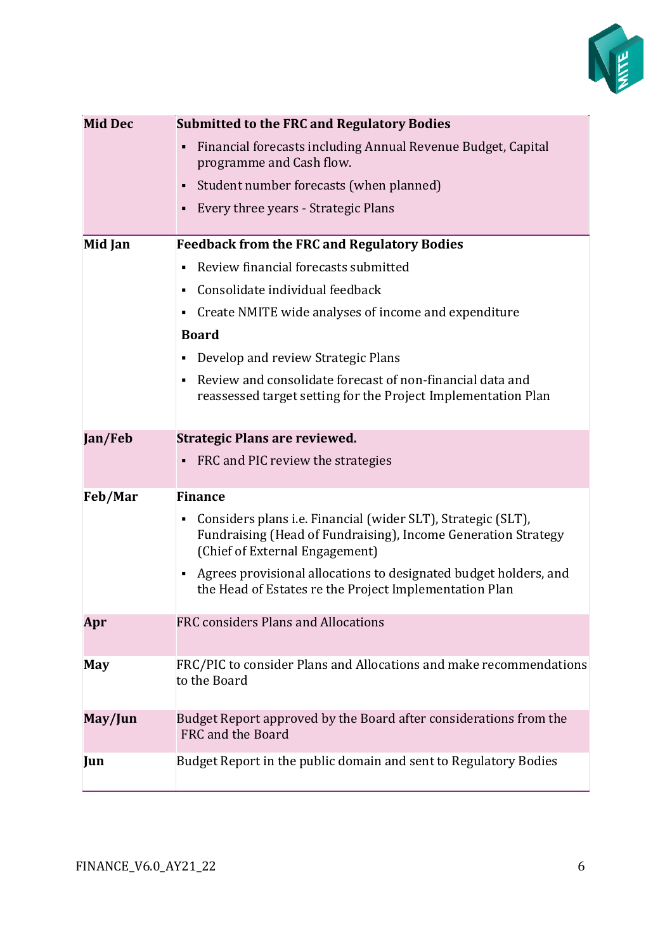

| <b>Mid Dec</b> | <b>Submitted to the FRC and Regulatory Bodies</b>                                                                                                                    |  |
|----------------|----------------------------------------------------------------------------------------------------------------------------------------------------------------------|--|
|                | Financial forecasts including Annual Revenue Budget, Capital<br>٠<br>programme and Cash flow.                                                                        |  |
|                | Student number forecasts (when planned)                                                                                                                              |  |
|                | Every three years - Strategic Plans                                                                                                                                  |  |
|                |                                                                                                                                                                      |  |
| Mid Jan        | <b>Feedback from the FRC and Regulatory Bodies</b>                                                                                                                   |  |
|                | Review financial forecasts submitted                                                                                                                                 |  |
|                | Consolidate individual feedback                                                                                                                                      |  |
|                | Create NMITE wide analyses of income and expenditure                                                                                                                 |  |
|                | <b>Board</b>                                                                                                                                                         |  |
|                | Develop and review Strategic Plans                                                                                                                                   |  |
|                | Review and consolidate forecast of non-financial data and<br>reassessed target setting for the Project Implementation Plan                                           |  |
| Jan/Feb        | <b>Strategic Plans are reviewed.</b>                                                                                                                                 |  |
|                | FRC and PIC review the strategies<br>٠                                                                                                                               |  |
| Feb/Mar        | <b>Finance</b>                                                                                                                                                       |  |
|                | Considers plans i.e. Financial (wider SLT), Strategic (SLT),<br>٠<br>Fundraising (Head of Fundraising), Income Generation Strategy<br>(Chief of External Engagement) |  |
|                | Agrees provisional allocations to designated budget holders, and<br>٠<br>the Head of Estates re the Project Implementation Plan                                      |  |
| Apr            | FRC considers Plans and Allocations                                                                                                                                  |  |
| <b>May</b>     | FRC/PIC to consider Plans and Allocations and make recommendations<br>to the Board                                                                                   |  |
| May/Jun        | Budget Report approved by the Board after considerations from the<br>FRC and the Board                                                                               |  |
| Jun            | Budget Report in the public domain and sent to Regulatory Bodies                                                                                                     |  |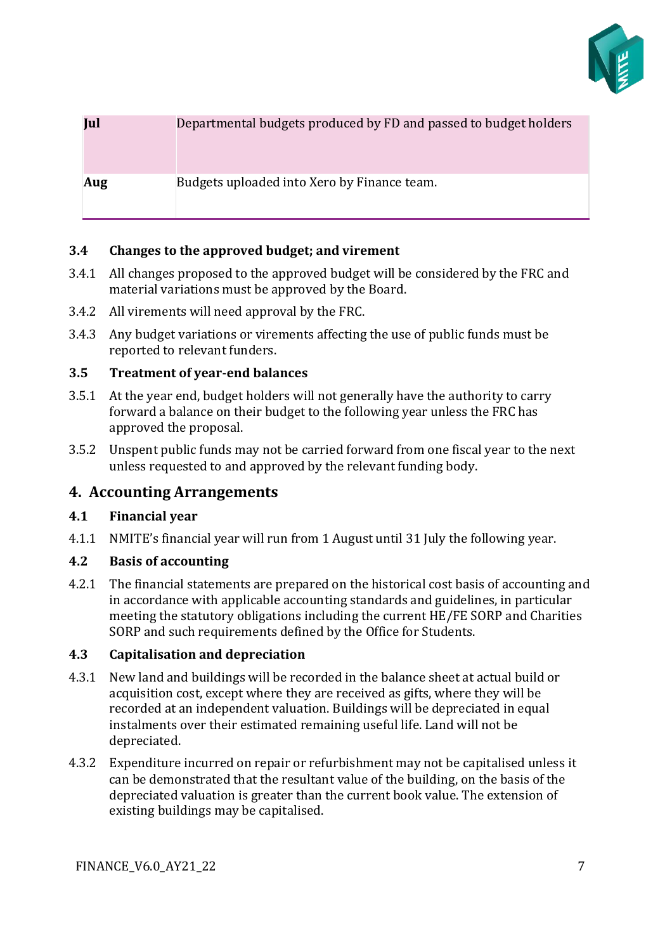

# **Jul** Departmental budgets produced by FD and passed to budget holders **Aug** Budgets uploaded into Xero by Finance team.

#### **3.4 Changes to the approved budget; and virement**

- 3.4.1 All changes proposed to the approved budget will be considered by the FRC and material variations must be approved by the Board.
- 3.4.2 All virements will need approval by the FRC.
- 3.4.3 Any budget variations or virements affecting the use of public funds must be reported to relevant funders.

#### **3.5 Treatment of year-end balances**

- 3.5.1 At the year end, budget holders will not generally have the authority to carry forward a balance on their budget to the following year unless the FRC has approved the proposal.
- 3.5.2 Unspent public funds may not be carried forward from one fiscal year to the next unless requested to and approved by the relevant funding body.

#### <span id="page-6-0"></span>**4. Accounting Arrangements**

#### **4.1 Financial year**

4.1.1 NMITE's financial year will run from 1 August until 31 July the following year.

#### **4.2 Basis of accounting**

4.2.1 The financial statements are prepared on the historical cost basis of accounting and in accordance with applicable accounting standards and guidelines, in particular meeting the statutory obligations including the current HE/FE SORP and Charities SORP and such requirements defined by the Office for Students.

#### **4.3 Capitalisation and depreciation**

- 4.3.1 New land and buildings will be recorded in the balance sheet at actual build or acquisition cost, except where they are received as gifts, where they will be recorded at an independent valuation. Buildings will be depreciated in equal instalments over their estimated remaining useful life. Land will not be depreciated.
- 4.3.2 Expenditure incurred on repair or refurbishment may not be capitalised unless it can be demonstrated that the resultant value of the building, on the basis of the depreciated valuation is greater than the current book value. The extension of existing buildings may be capitalised.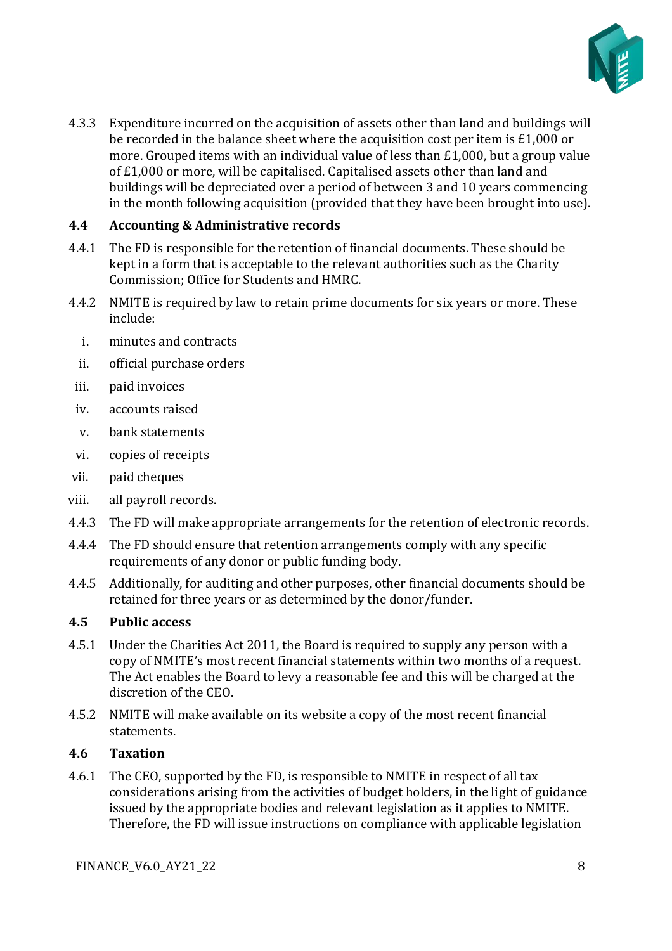

4.3.3 Expenditure incurred on the acquisition of assets other than land and buildings will be recorded in the balance sheet where the acquisition cost per item is £1,000 or more. Grouped items with an individual value of less than £1,000, but a group value of £1,000 or more, will be capitalised. Capitalised assets other than land and buildings will be depreciated over a period of between 3 and 10 years commencing in the month following acquisition (provided that they have been brought into use).

#### **4.4 Accounting & Administrative records**

- 4.4.1 The FD is responsible for the retention of financial documents. These should be kept in a form that is acceptable to the relevant authorities such as the Charity Commission; Office for Students and HMRC.
- 4.4.2 NMITE is required by law to retain prime documents for six years or more. These include:
	- i. minutes and contracts
	- ii. official purchase orders
- iii. paid invoices
- iv. accounts raised
- v. bank statements
- vi. copies of receipts
- vii. paid cheques
- viii. all payroll records.
- 4.4.3 The FD will make appropriate arrangements for the retention of electronic records.
- 4.4.4 The FD should ensure that retention arrangements comply with any specific requirements of any donor or public funding body.
- 4.4.5 Additionally, for auditing and other purposes, other financial documents should be retained for three years or as determined by the donor/funder.

#### **4.5 Public access**

- 4.5.1 Under the Charities Act 2011, the Board is required to supply any person with a copy of NMITE's most recent financial statements within two months of a request. The Act enables the Board to levy a reasonable fee and this will be charged at the discretion of the CEO.
- 4.5.2 NMITE will make available on its website a copy of the most recent financial statements.

#### **4.6 Taxation**

4.6.1 The CEO, supported by the FD, is responsible to NMITE in respect of all tax considerations arising from the activities of budget holders, in the light of guidance issued by the appropriate bodies and relevant legislation as it applies to NMITE. Therefore, the FD will issue instructions on compliance with applicable legislation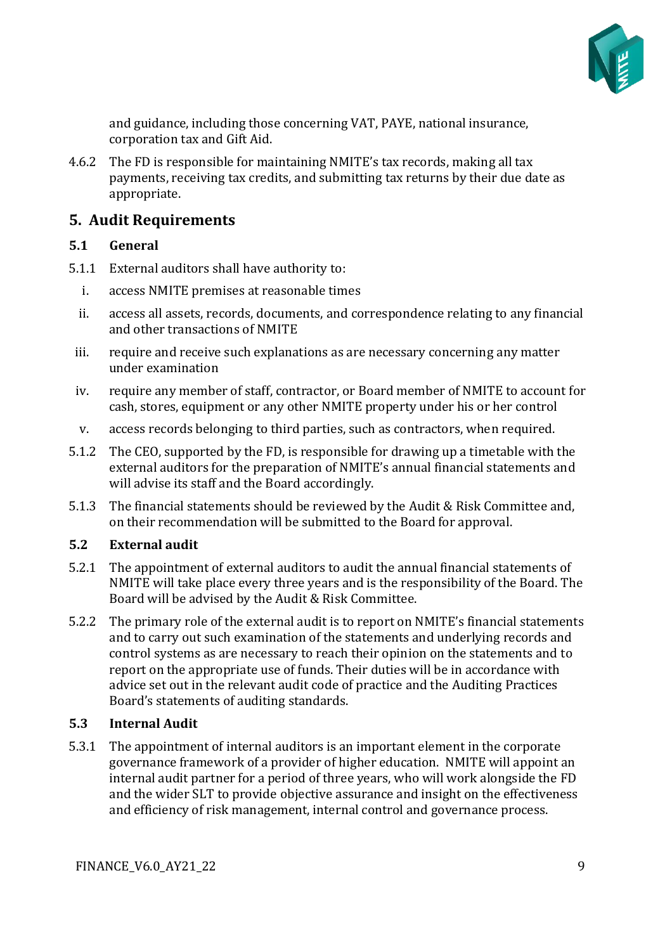

and guidance, including those concerning VAT, PAYE, national insurance, corporation tax and Gift Aid.

4.6.2 The FD is responsible for maintaining NMITE's tax records, making all tax payments, receiving tax credits, and submitting tax returns by their due date as appropriate.

## <span id="page-8-0"></span>**5. Audit Requirements**

#### **5.1 General**

- 5.1.1 External auditors shall have authority to:
	- i. access NMITE premises at reasonable times
	- ii. access all assets, records, documents, and correspondence relating to any financial and other transactions of NMITE
- iii. require and receive such explanations as are necessary concerning any matter under examination
- iv. require any member of staff, contractor, or Board member of NMITE to account for cash, stores, equipment or any other NMITE property under his or her control
- v. access records belonging to third parties, such as contractors, when required.
- 5.1.2 The CEO, supported by the FD, is responsible for drawing up a timetable with the external auditors for the preparation of NMITE's annual financial statements and will advise its staff and the Board accordingly.
- 5.1.3 The financial statements should be reviewed by the Audit & Risk Committee and, on their recommendation will be submitted to the Board for approval.

#### **5.2 External audit**

- 5.2.1 The appointment of external auditors to audit the annual financial statements of NMITE will take place every three years and is the responsibility of the Board. The Board will be advised by the Audit & Risk Committee.
- 5.2.2 The primary role of the external audit is to report on NMITE's financial statements and to carry out such examination of the statements and underlying records and control systems as are necessary to reach their opinion on the statements and to report on the appropriate use of funds. Their duties will be in accordance with advice set out in the relevant audit code of practice and the Auditing Practices Board's statements of auditing standards.

#### **5.3 Internal Audit**

5.3.1 The appointment of internal auditors is an important element in the corporate governance framework of a provider of higher education. NMITE will appoint an internal audit partner for a period of three years, who will work alongside the FD and the wider SLT to provide objective assurance and insight on the effectiveness and efficiency of risk management, internal control and governance process.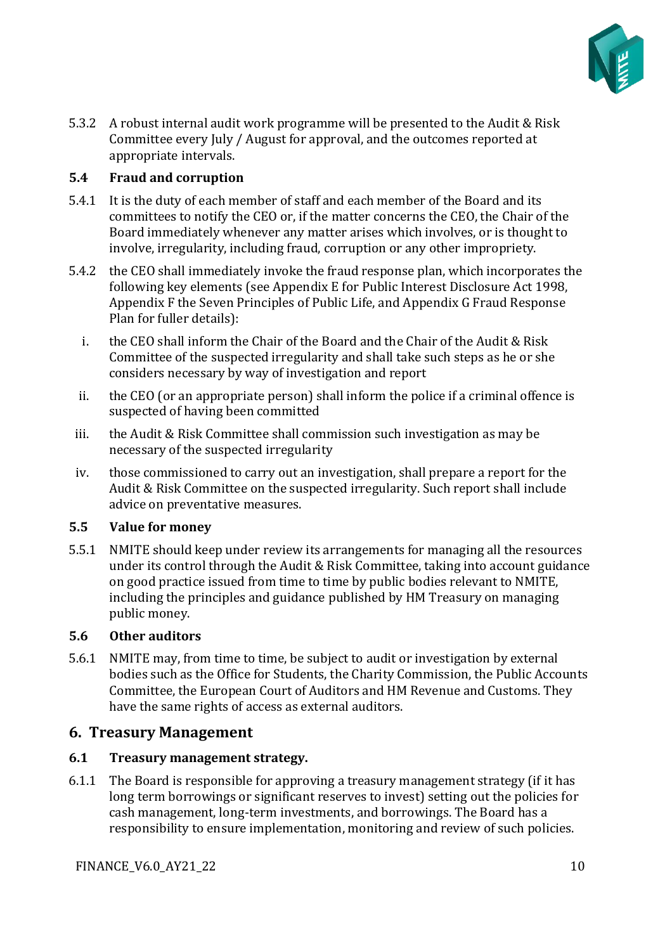

5.3.2 A robust internal audit work programme will be presented to the Audit & Risk Committee every July / August for approval, and the outcomes reported at appropriate intervals.

#### **5.4 Fraud and corruption**

- 5.4.1 It is the duty of each member of staff and each member of the Board and its committees to notify the CEO or, if the matter concerns the CEO, the Chair of the Board immediately whenever any matter arises which involves, or is thought to involve, irregularity, including fraud, corruption or any other impropriety.
- 5.4.2 the CEO shall immediately invoke the fraud response plan, which incorporates the following key elements (see Appendix E for Public Interest Disclosure Act 1998, Appendix F the Seven Principles of Public Life, and Appendix G Fraud Response Plan for fuller details):
	- i. the CEO shall inform the Chair of the Board and the Chair of the Audit & Risk Committee of the suspected irregularity and shall take such steps as he or she considers necessary by way of investigation and report
- ii. the CEO (or an appropriate person) shall inform the police if a criminal offence is suspected of having been committed
- iii. the Audit & Risk Committee shall commission such investigation as may be necessary of the suspected irregularity
- iv. those commissioned to carry out an investigation, shall prepare a report for the Audit & Risk Committee on the suspected irregularity. Such report shall include advice on preventative measures.

#### **5.5 Value for money**

5.5.1 NMITE should keep under review its arrangements for managing all the resources under its control through the Audit & Risk Committee, taking into account guidance on good practice issued from time to time by public bodies relevant to NMITE, including the principles and guidance published by HM Treasury on managing public money.

#### **5.6 Other auditors**

5.6.1 NMITE may, from time to time, be subject to audit or investigation by external bodies such as the Office for Students, the Charity Commission, the Public Accounts Committee, the European Court of Auditors and HM Revenue and Customs. They have the same rights of access as external auditors.

## <span id="page-9-0"></span>**6. Treasury Management**

#### **6.1 Treasury management strategy.**

6.1.1 The Board is responsible for approving a treasury management strategy (if it has long term borrowings or significant reserves to invest) setting out the policies for cash management, long-term investments, and borrowings. The Board has a responsibility to ensure implementation, monitoring and review of such policies.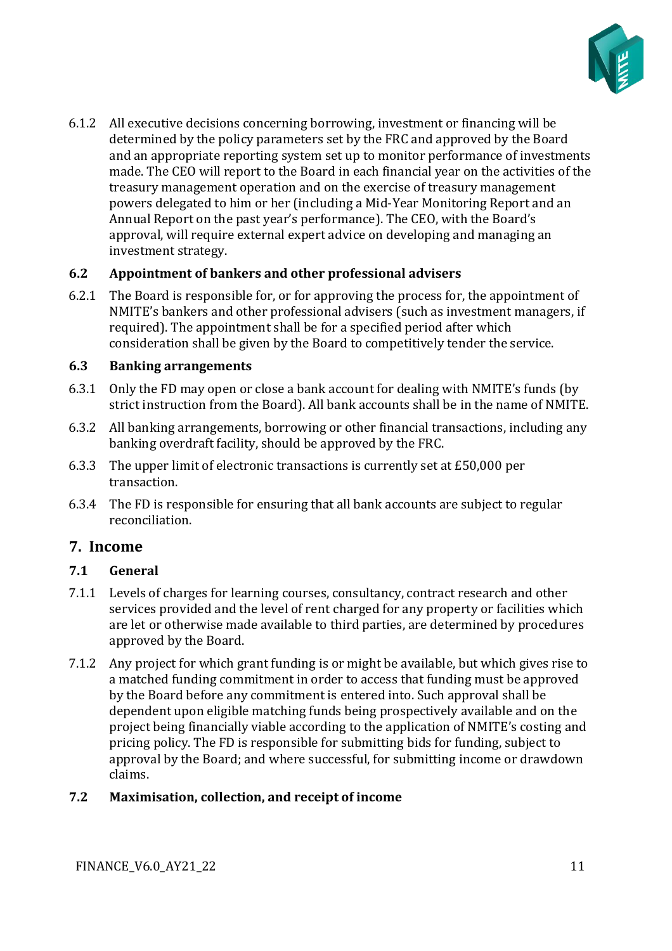

6.1.2 All executive decisions concerning borrowing, investment or financing will be determined by the policy parameters set by the FRC and approved by the Board and an appropriate reporting system set up to monitor performance of investments made. The CEO will report to the Board in each financial year on the activities of the treasury management operation and on the exercise of treasury management powers delegated to him or her (including a Mid-Year Monitoring Report and an Annual Report on the past year's performance). The CEO, with the Board's approval, will require external expert advice on developing and managing an investment strategy.

#### **6.2 Appointment of bankers and other professional advisers**

6.2.1 The Board is responsible for, or for approving the process for, the appointment of NMITE's bankers and other professional advisers (such as investment managers, if required). The appointment shall be for a specified period after which consideration shall be given by the Board to competitively tender the service.

#### **6.3 Banking arrangements**

- 6.3.1 Only the FD may open or close a bank account for dealing with NMITE's funds (by strict instruction from the Board). All bank accounts shall be in the name of NMITE.
- 6.3.2 All banking arrangements, borrowing or other financial transactions, including any banking overdraft facility, should be approved by the FRC.
- 6.3.3 The upper limit of electronic transactions is currently set at £50,000 per transaction.
- 6.3.4 The FD is responsible for ensuring that all bank accounts are subject to regular reconciliation.

## <span id="page-10-0"></span>**7. Income**

#### **7.1 General**

- 7.1.1 Levels of charges for learning courses, consultancy, contract research and other services provided and the level of rent charged for any property or facilities which are let or otherwise made available to third parties, are determined by procedures approved by the Board.
- 7.1.2 Any project for which grant funding is or might be available, but which gives rise to a matched funding commitment in order to access that funding must be approved by the Board before any commitment is entered into. Such approval shall be dependent upon eligible matching funds being prospectively available and on the project being financially viable according to the application of NMITE's costing and pricing policy. The FD is responsible for submitting bids for funding, subject to approval by the Board; and where successful, for submitting income or drawdown claims.

#### **7.2 Maximisation, collection, and receipt of income**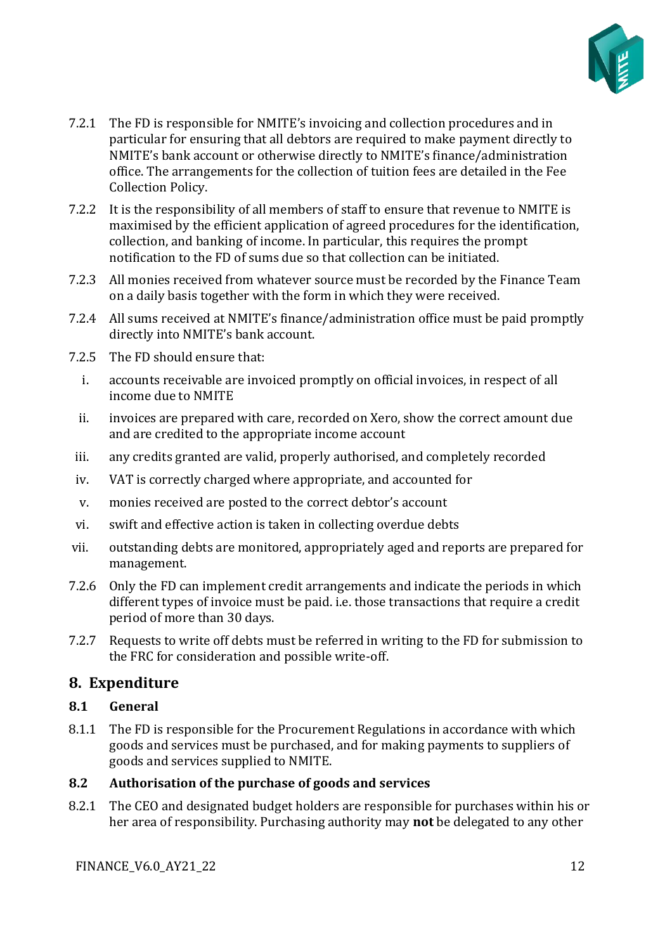

- 7.2.1 The FD is responsible for NMITE's invoicing and collection procedures and in particular for ensuring that all debtors are required to make payment directly to NMITE's bank account or otherwise directly to NMITE's finance/administration office. The arrangements for the collection of tuition fees are detailed in the Fee Collection Policy.
- 7.2.2 It is the responsibility of all members of staff to ensure that revenue to NMITE is maximised by the efficient application of agreed procedures for the identification, collection, and banking of income. In particular, this requires the prompt notification to the FD of sums due so that collection can be initiated.
- 7.2.3 All monies received from whatever source must be recorded by the Finance Team on a daily basis together with the form in which they were received.
- 7.2.4 All sums received at NMITE's finance/administration office must be paid promptly directly into NMITE's bank account.
- 7.2.5 The FD should ensure that:
	- i. accounts receivable are invoiced promptly on official invoices, in respect of all income due to NMITE
- ii. invoices are prepared with care, recorded on Xero, show the correct amount due and are credited to the appropriate income account
- iii. any credits granted are valid, properly authorised, and completely recorded
- iv. VAT is correctly charged where appropriate, and accounted for
- v. monies received are posted to the correct debtor's account
- vi. swift and effective action is taken in collecting overdue debts
- vii. outstanding debts are monitored, appropriately aged and reports are prepared for management.
- 7.2.6 Only the FD can implement credit arrangements and indicate the periods in which different types of invoice must be paid. i.e. those transactions that require a credit period of more than 30 days.
- 7.2.7 Requests to write off debts must be referred in writing to the FD for submission to the FRC for consideration and possible write-off.

#### <span id="page-11-0"></span>**8. Expenditure**

#### **8.1 General**

8.1.1 The FD is responsible for the Procurement Regulations in accordance with which goods and services must be purchased, and for making payments to suppliers of goods and services supplied to NMITE.

#### **8.2 Authorisation of the purchase of goods and services**

8.2.1 The CEO and designated budget holders are responsible for purchases within his or her area of responsibility. Purchasing authority may **not** be delegated to any other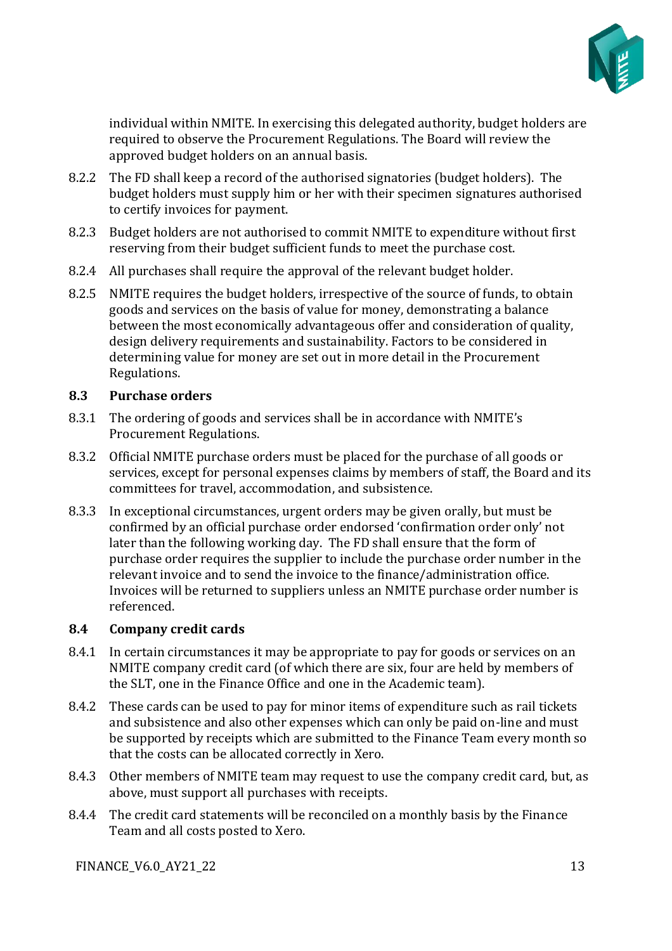

individual within NMITE. In exercising this delegated authority, budget holders are required to observe the Procurement Regulations. The Board will review the approved budget holders on an annual basis.

- 8.2.2 The FD shall keep a record of the authorised signatories (budget holders). The budget holders must supply him or her with their specimen signatures authorised to certify invoices for payment.
- 8.2.3 Budget holders are not authorised to commit NMITE to expenditure without first reserving from their budget sufficient funds to meet the purchase cost.
- 8.2.4 All purchases shall require the approval of the relevant budget holder.
- 8.2.5 NMITE requires the budget holders, irrespective of the source of funds, to obtain goods and services on the basis of value for money, demonstrating a balance between the most economically advantageous offer and consideration of quality, design delivery requirements and sustainability. Factors to be considered in determining value for money are set out in more detail in the Procurement Regulations.

#### **8.3 Purchase orders**

- 8.3.1 The ordering of goods and services shall be in accordance with NMITE's Procurement Regulations.
- 8.3.2 Official NMITE purchase orders must be placed for the purchase of all goods or services, except for personal expenses claims by members of staff, the Board and its committees for travel, accommodation, and subsistence.
- 8.3.3 In exceptional circumstances, urgent orders may be given orally, but must be confirmed by an official purchase order endorsed 'confirmation order only' not later than the following working day. The FD shall ensure that the form of purchase order requires the supplier to include the purchase order number in the relevant invoice and to send the invoice to the finance/administration office. Invoices will be returned to suppliers unless an NMITE purchase order number is referenced.

#### **8.4 Company credit cards**

- 8.4.1 In certain circumstances it may be appropriate to pay for goods or services on an NMITE company credit card (of which there are six, four are held by members of the SLT, one in the Finance Office and one in the Academic team).
- 8.4.2 These cards can be used to pay for minor items of expenditure such as rail tickets and subsistence and also other expenses which can only be paid on-line and must be supported by receipts which are submitted to the Finance Team every month so that the costs can be allocated correctly in Xero.
- 8.4.3 Other members of NMITE team may request to use the company credit card, but, as above, must support all purchases with receipts.
- 8.4.4 The credit card statements will be reconciled on a monthly basis by the Finance Team and all costs posted to Xero.

FINANCE\_V6.0\_AY21\_22 13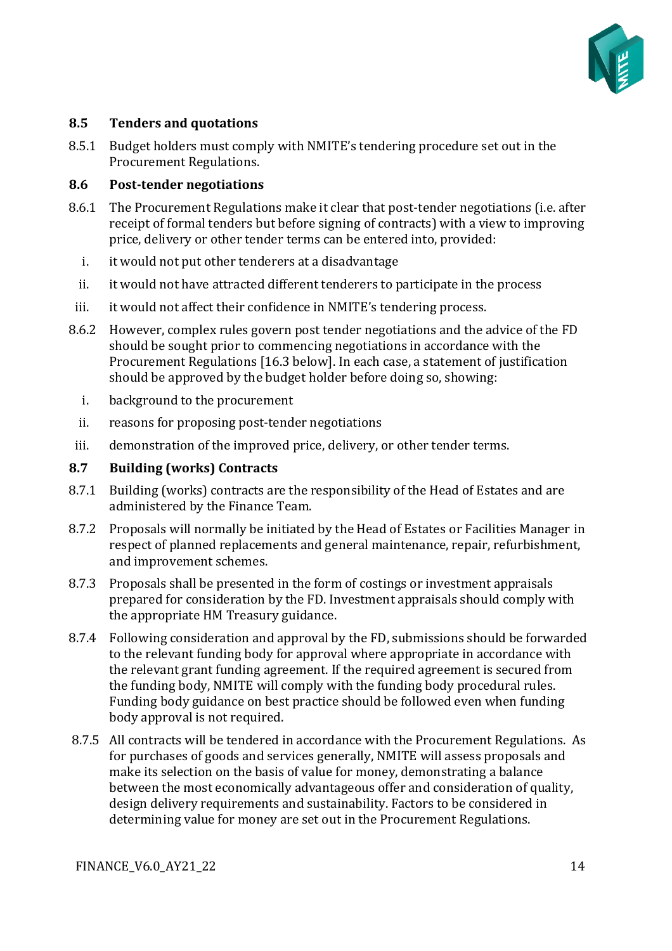

#### **8.5 Tenders and quotations**

8.5.1 Budget holders must comply with NMITE's tendering procedure set out in the Procurement Regulations.

#### **8.6 Post-tender negotiations**

- 8.6.1 The Procurement Regulations make it clear that post-tender negotiations (i.e. after receipt of formal tenders but before signing of contracts) with a view to improving price, delivery or other tender terms can be entered into, provided:
	- i. it would not put other tenderers at a disadvantage
	- ii. it would not have attracted different tenderers to participate in the process
- iii. it would not affect their confidence in NMITE's tendering process.
- 8.6.2 However, complex rules govern post tender negotiations and the advice of the FD should be sought prior to commencing negotiations in accordance with the Procurement Regulations [16.3 below]. In each case, a statement of justification should be approved by the budget holder before doing so, showing:
	- i. background to the procurement
	- ii. reasons for proposing post-tender negotiations
- iii. demonstration of the improved price, delivery, or other tender terms.

#### **8.7 Building (works) Contracts**

- 8.7.1 Building (works) contracts are the responsibility of the Head of Estates and are administered by the Finance Team.
- 8.7.2 Proposals will normally be initiated by the Head of Estates or Facilities Manager in respect of planned replacements and general maintenance, repair, refurbishment, and improvement schemes.
- 8.7.3 Proposals shall be presented in the form of costings or investment appraisals prepared for consideration by the FD. Investment appraisals should comply with the appropriate HM Treasury guidance.
- 8.7.4 Following consideration and approval by the FD, submissions should be forwarded to the relevant funding body for approval where appropriate in accordance with the relevant grant funding agreement. If the required agreement is secured from the funding body, NMITE will comply with the funding body procedural rules. Funding body guidance on best practice should be followed even when funding body approval is not required.
- 8.7.5 All contracts will be tendered in accordance with the Procurement Regulations. As for purchases of goods and services generally, NMITE will assess proposals and make its selection on the basis of value for money, demonstrating a balance between the most economically advantageous offer and consideration of quality, design delivery requirements and sustainability. Factors to be considered in determining value for money are set out in the Procurement Regulations.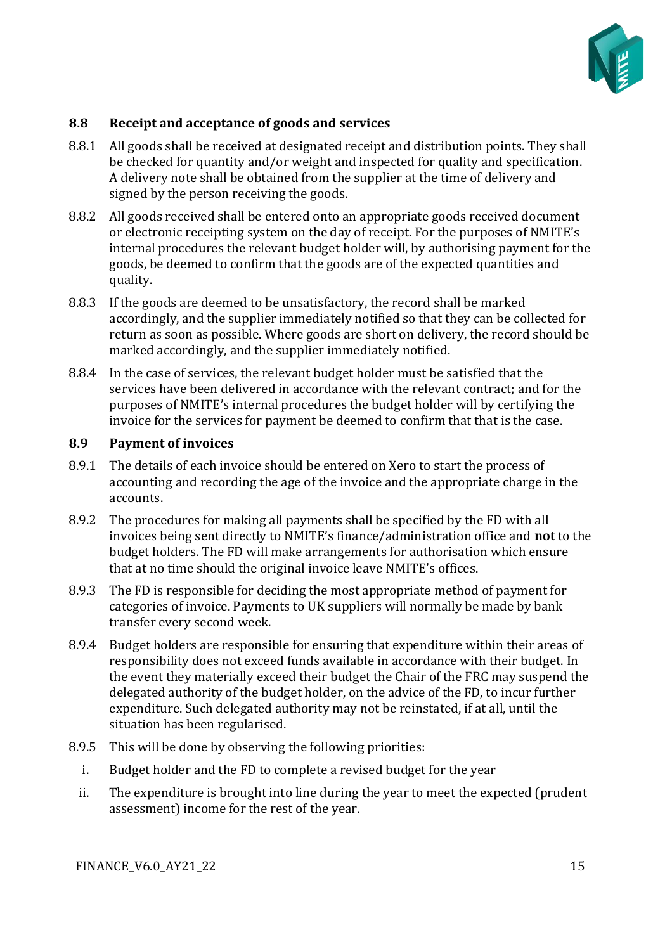

#### **8.8 Receipt and acceptance of goods and services**

- 8.8.1 All goods shall be received at designated receipt and distribution points. They shall be checked for quantity and/or weight and inspected for quality and specification. A delivery note shall be obtained from the supplier at the time of delivery and signed by the person receiving the goods.
- 8.8.2 All goods received shall be entered onto an appropriate goods received document or electronic receipting system on the day of receipt. For the purposes of NMITE's internal procedures the relevant budget holder will, by authorising payment for the goods, be deemed to confirm that the goods are of the expected quantities and quality.
- 8.8.3 If the goods are deemed to be unsatisfactory, the record shall be marked accordingly, and the supplier immediately notified so that they can be collected for return as soon as possible. Where goods are short on delivery, the record should be marked accordingly, and the supplier immediately notified.
- 8.8.4 In the case of services, the relevant budget holder must be satisfied that the services have been delivered in accordance with the relevant contract; and for the purposes of NMITE's internal procedures the budget holder will by certifying the invoice for the services for payment be deemed to confirm that that is the case.

#### **8.9 Payment of invoices**

- 8.9.1 The details of each invoice should be entered on Xero to start the process of accounting and recording the age of the invoice and the appropriate charge in the accounts.
- 8.9.2 The procedures for making all payments shall be specified by the FD with all invoices being sent directly to NMITE's finance/administration office and **not** to the budget holders. The FD will make arrangements for authorisation which ensure that at no time should the original invoice leave NMITE's offices.
- 8.9.3 The FD is responsible for deciding the most appropriate method of payment for categories of invoice. Payments to UK suppliers will normally be made by bank transfer every second week.
- 8.9.4 Budget holders are responsible for ensuring that expenditure within their areas of responsibility does not exceed funds available in accordance with their budget. In the event they materially exceed their budget the Chair of the FRC may suspend the delegated authority of the budget holder, on the advice of the FD, to incur further expenditure. Such delegated authority may not be reinstated, if at all, until the situation has been regularised.
- 8.9.5 This will be done by observing the following priorities:
	- i. Budget holder and the FD to complete a revised budget for the year
	- ii. The expenditure is brought into line during the year to meet the expected (prudent assessment) income for the rest of the year.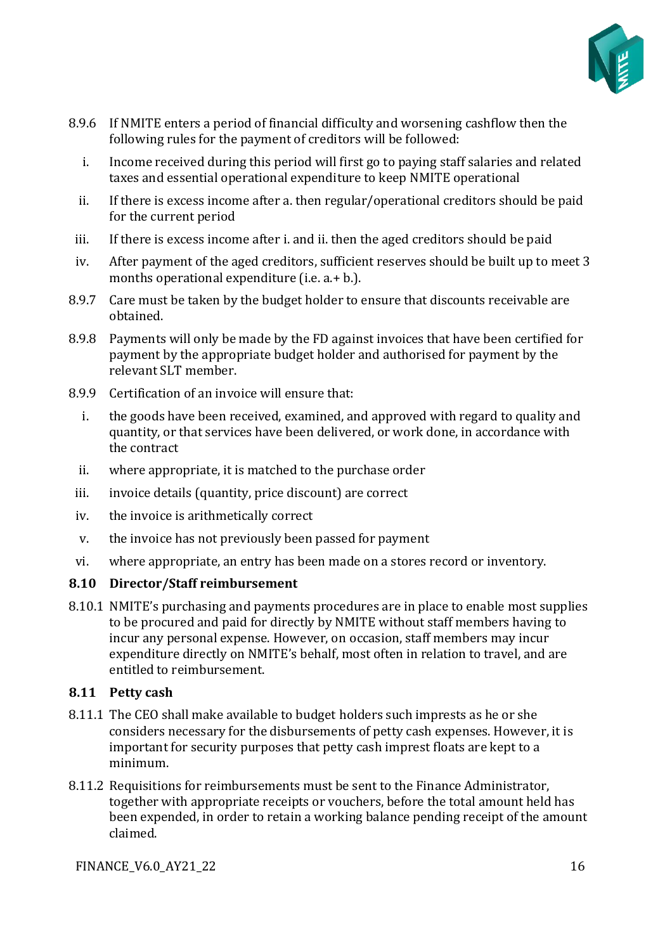

- 8.9.6 If NMITE enters a period of financial difficulty and worsening cashflow then the following rules for the payment of creditors will be followed:
	- i. Income received during this period will first go to paying staff salaries and related taxes and essential operational expenditure to keep NMITE operational
	- ii. If there is excess income after a. then regular/operational creditors should be paid for the current period
- iii. If there is excess income after i. and ii. then the aged creditors should be paid
- iv. After payment of the aged creditors, sufficient reserves should be built up to meet 3 months operational expenditure (i.e. a.+ b.).
- 8.9.7 Care must be taken by the budget holder to ensure that discounts receivable are obtained.
- 8.9.8 Payments will only be made by the FD against invoices that have been certified for payment by the appropriate budget holder and authorised for payment by the relevant SLT member.
- 8.9.9 Certification of an invoice will ensure that:
	- i. the goods have been received, examined, and approved with regard to quality and quantity, or that services have been delivered, or work done, in accordance with the contract
	- ii. where appropriate, it is matched to the purchase order
- iii. invoice details (quantity, price discount) are correct
- iv. the invoice is arithmetically correct
- v. the invoice has not previously been passed for payment
- vi. where appropriate, an entry has been made on a stores record or inventory.

#### **8.10 Director/Staff reimbursement**

8.10.1 NMITE's purchasing and payments procedures are in place to enable most supplies to be procured and paid for directly by NMITE without staff members having to incur any personal expense. However, on occasion, staff members may incur expenditure directly on NMITE's behalf, most often in relation to travel, and are entitled to reimbursement.

#### **8.11 Petty cash**

- 8.11.1 The CEO shall make available to budget holders such imprests as he or she considers necessary for the disbursements of petty cash expenses. However, it is important for security purposes that petty cash imprest floats are kept to a minimum.
- 8.11.2 Requisitions for reimbursements must be sent to the Finance Administrator, together with appropriate receipts or vouchers, before the total amount held has been expended, in order to retain a working balance pending receipt of the amount claimed.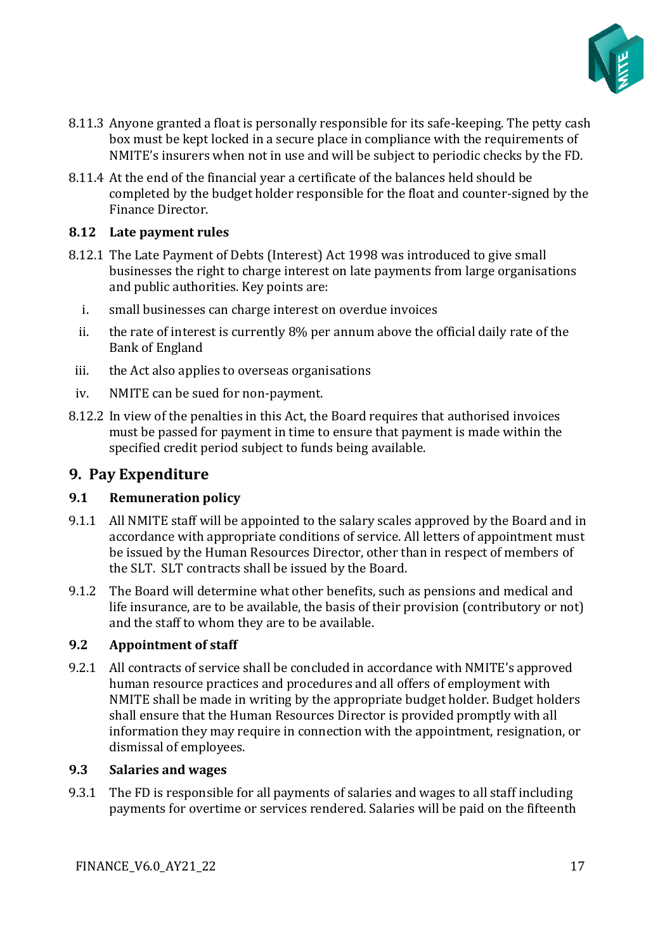

- 8.11.3 Anyone granted a float is personally responsible for its safe-keeping. The petty cash box must be kept locked in a secure place in compliance with the requirements of NMITE's insurers when not in use and will be subject to periodic checks by the FD.
- 8.11.4 At the end of the financial year a certificate of the balances held should be completed by the budget holder responsible for the float and counter-signed by the Finance Director.

#### **8.12 Late payment rules**

- 8.12.1 The Late Payment of Debts (Interest) Act 1998 was introduced to give small businesses the right to charge interest on late payments from large organisations and public authorities. Key points are:
	- i. small businesses can charge interest on overdue invoices
	- ii. the rate of interest is currently 8% per annum above the official daily rate of the Bank of England
- iii. the Act also applies to overseas organisations
- iv. NMITE can be sued for non-payment.
- 8.12.2 In view of the penalties in this Act, the Board requires that authorised invoices must be passed for payment in time to ensure that payment is made within the specified credit period subject to funds being available.

#### <span id="page-16-0"></span>**9. Pay Expenditure**

#### **9.1 Remuneration policy**

- 9.1.1 All NMITE staff will be appointed to the salary scales approved by the Board and in accordance with appropriate conditions of service. All letters of appointment must be issued by the Human Resources Director, other than in respect of members of the SLT. SLT contracts shall be issued by the Board.
- 9.1.2 The Board will determine what other benefits, such as pensions and medical and life insurance, are to be available, the basis of their provision (contributory or not) and the staff to whom they are to be available.

#### **9.2 Appointment of staff**

9.2.1 All contracts of service shall be concluded in accordance with NMITE's approved human resource practices and procedures and all offers of employment with NMITE shall be made in writing by the appropriate budget holder. Budget holders shall ensure that the Human Resources Director is provided promptly with all information they may require in connection with the appointment, resignation, or dismissal of employees.

#### **9.3 Salaries and wages**

9.3.1 The FD is responsible for all payments of salaries and wages to all staff including payments for overtime or services rendered. Salaries will be paid on the fifteenth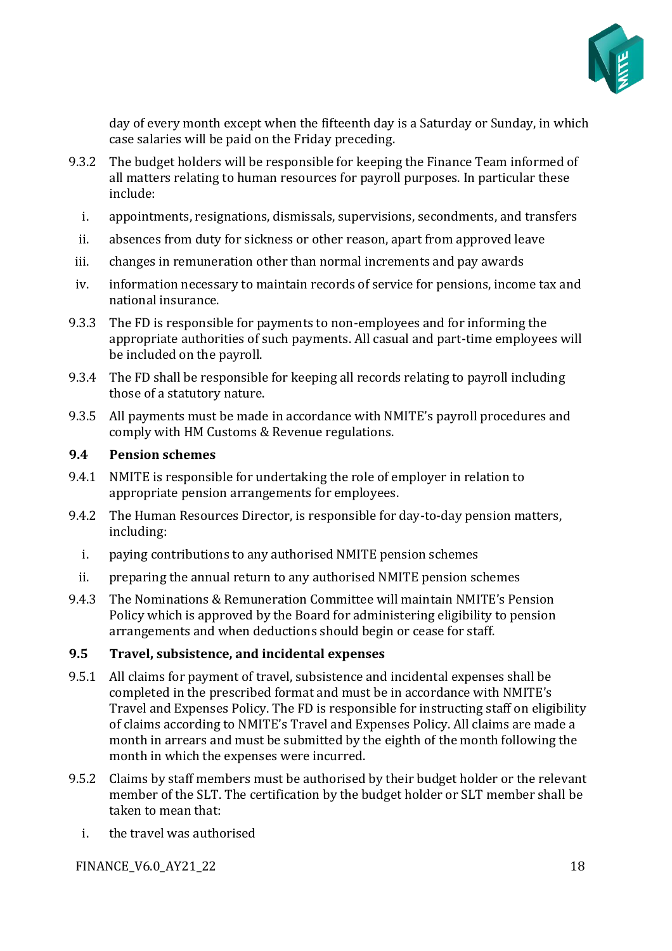

day of every month except when the fifteenth day is a Saturday or Sunday, in which case salaries will be paid on the Friday preceding.

- 9.3.2 The budget holders will be responsible for keeping the Finance Team informed of all matters relating to human resources for payroll purposes. In particular these include:
	- i. appointments, resignations, dismissals, supervisions, secondments, and transfers
	- ii. absences from duty for sickness or other reason, apart from approved leave
- iii. changes in remuneration other than normal increments and pay awards
- iv. information necessary to maintain records of service for pensions, income tax and national insurance.
- 9.3.3 The FD is responsible for payments to non-employees and for informing the appropriate authorities of such payments. All casual and part-time employees will be included on the payroll.
- 9.3.4 The FD shall be responsible for keeping all records relating to payroll including those of a statutory nature.
- 9.3.5 All payments must be made in accordance with NMITE's payroll procedures and comply with HM Customs & Revenue regulations.

#### **9.4 Pension schemes**

- 9.4.1 NMITE is responsible for undertaking the role of employer in relation to appropriate pension arrangements for employees.
- 9.4.2 The Human Resources Director, is responsible for day-to-day pension matters, including:
	- i. paying contributions to any authorised NMITE pension schemes
- ii. preparing the annual return to any authorised NMITE pension schemes
- 9.4.3 The Nominations & Remuneration Committee will maintain NMITE's Pension Policy which is approved by the Board for administering eligibility to pension arrangements and when deductions should begin or cease for staff.

#### **9.5 Travel, subsistence, and incidental expenses**

- 9.5.1 All claims for payment of travel, subsistence and incidental expenses shall be completed in the prescribed format and must be in accordance with NMITE's Travel and Expenses Policy. The FD is responsible for instructing staff on eligibility of claims according to NMITE's Travel and Expenses Policy. All claims are made a month in arrears and must be submitted by the eighth of the month following the month in which the expenses were incurred.
- 9.5.2 Claims by staff members must be authorised by their budget holder or the relevant member of the SLT. The certification by the budget holder or SLT member shall be taken to mean that:
	- i. the travel was authorised

FINANCE V6.0 AY21 22 18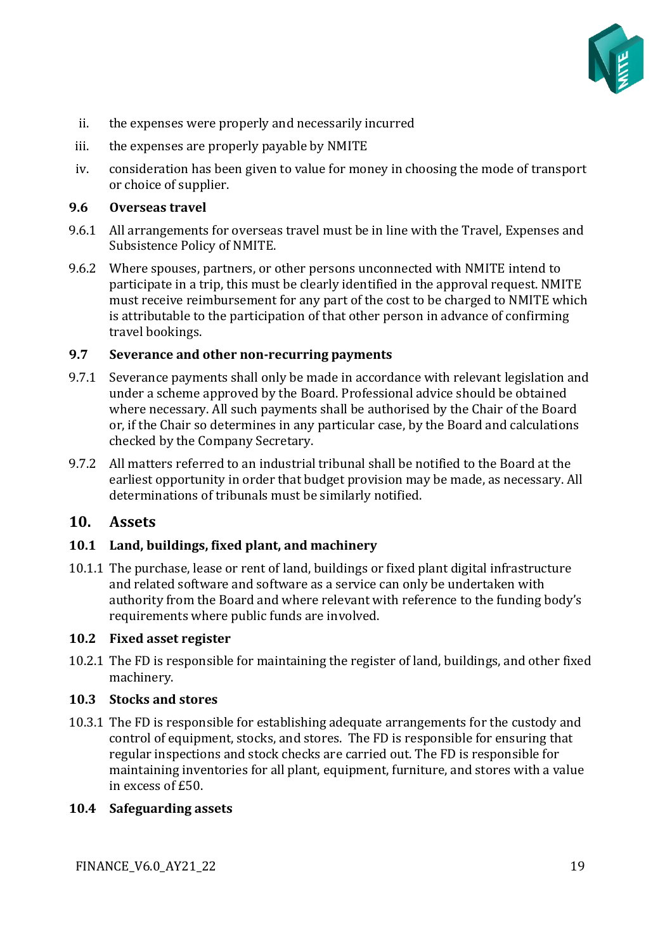

- ii. the expenses were properly and necessarily incurred
- iii. the expenses are properly payable by NMITE
- iv. consideration has been given to value for money in choosing the mode of transport or choice of supplier.

#### **9.6 Overseas travel**

- 9.6.1 All arrangements for overseas travel must be in line with the Travel, Expenses and Subsistence Policy of NMITE.
- 9.6.2 Where spouses, partners, or other persons unconnected with NMITE intend to participate in a trip, this must be clearly identified in the approval request. NMITE must receive reimbursement for any part of the cost to be charged to NMITE which is attributable to the participation of that other person in advance of confirming travel bookings.

#### **9.7 Severance and other non-recurring payments**

- 9.7.1 Severance payments shall only be made in accordance with relevant legislation and under a scheme approved by the Board. Professional advice should be obtained where necessary. All such payments shall be authorised by the Chair of the Board or, if the Chair so determines in any particular case, by the Board and calculations checked by the Company Secretary.
- 9.7.2 All matters referred to an industrial tribunal shall be notified to the Board at the earliest opportunity in order that budget provision may be made, as necessary. All determinations of tribunals must be similarly notified.

#### <span id="page-18-0"></span>**10. Assets**

#### **10.1 Land, buildings, fixed plant, and machinery**

10.1.1 The purchase, lease or rent of land, buildings or fixed plant digital infrastructure and related software and software as a service can only be undertaken with authority from the Board and where relevant with reference to the funding body's requirements where public funds are involved.

#### **10.2 Fixed asset register**

10.2.1 The FD is responsible for maintaining the register of land, buildings, and other fixed machinery.

#### **10.3 Stocks and stores**

10.3.1 The FD is responsible for establishing adequate arrangements for the custody and control of equipment, stocks, and stores. The FD is responsible for ensuring that regular inspections and stock checks are carried out. The FD is responsible for maintaining inventories for all plant, equipment, furniture, and stores with a value in excess of £50.

#### **10.4 Safeguarding assets**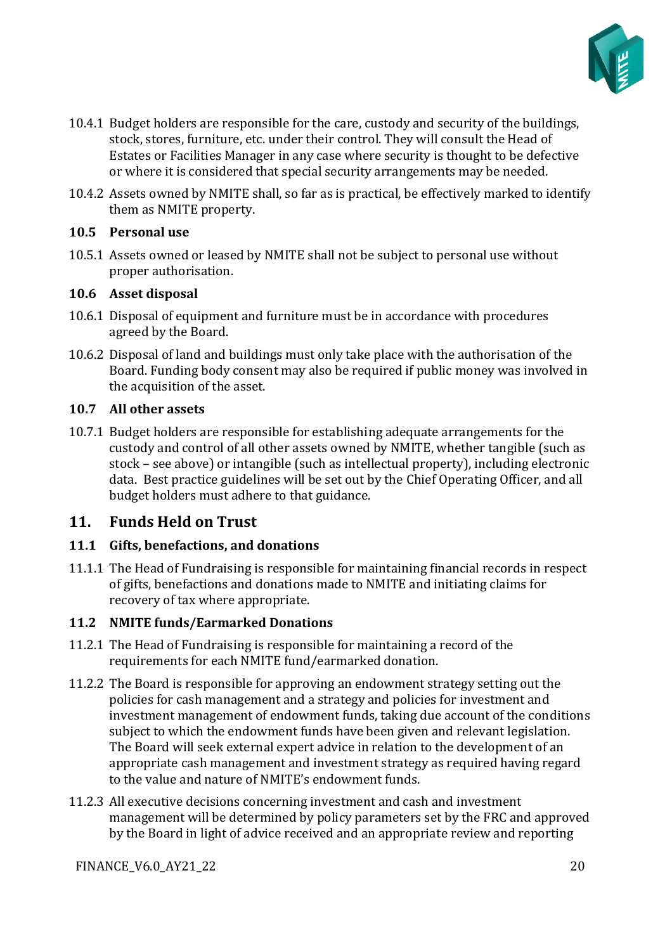

- 10.4.1 Budget holders are responsible for the care, custody and security of the buildings, stock, stores, furniture, etc. under their control. They will consult the Head of Estates or Facilities Manager in any case where security is thought to be defective or where it is considered that special security arrangements may be needed.
- 10.4.2 Assets owned by NMITE shall, so far as is practical, be effectively marked to identify them as NMITE property.

#### **10.5 Personal use**

10.5.1 Assets owned or leased by NMITE shall not be subject to personal use without proper authorisation.

#### **10.6 Asset disposal**

- 10.6.1 Disposal of equipment and furniture must be in accordance with procedures agreed by the Board.
- 10.6.2 Disposal of land and buildings must only take place with the authorisation of the Board. Funding body consent may also be required if public money was involved in the acquisition of the asset.

#### **10.7 All other assets**

10.7.1 Budget holders are responsible for establishing adequate arrangements for the custody and control of all other assets owned by NMITE, whether tangible (such as stock – see above) or intangible (such as intellectual property), including electronic data. Best practice guidelines will be set out by the Chief Operating Officer, and all budget holders must adhere to that guidance.

#### <span id="page-19-0"></span>**11. Funds Held on Trust**

#### **11.1 Gifts, benefactions, and donations**

11.1.1 The Head of Fundraising is responsible for maintaining financial records in respect of gifts, benefactions and donations made to NMITE and initiating claims for recovery of tax where appropriate.

#### **11.2 NMITE funds/Earmarked Donations**

- 11.2.1 The Head of Fundraising is responsible for maintaining a record of the requirements for each NMITE fund/earmarked donation.
- 11.2.2 The Board is responsible for approving an endowment strategy setting out the policies for cash management and a strategy and policies for investment and investment management of endowment funds, taking due account of the conditions subject to which the endowment funds have been given and relevant legislation. The Board will seek external expert advice in relation to the development of an appropriate cash management and investment strategy as required having regard to the value and nature of NMITE's endowment funds.
- 11.2.3 All executive decisions concerning investment and cash and investment management will be determined by policy parameters set by the FRC and approved by the Board in light of advice received and an appropriate review and reporting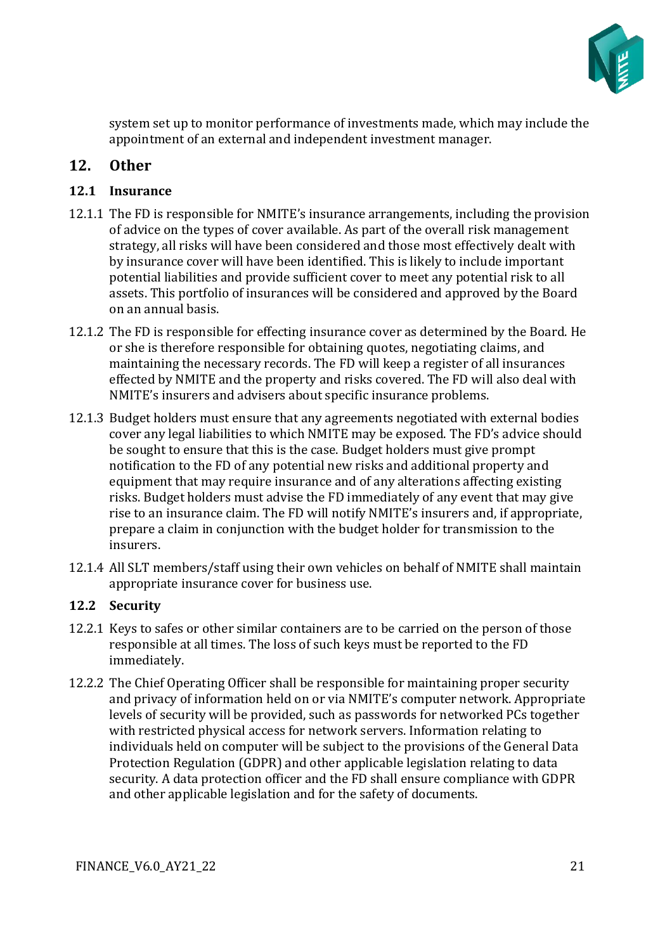

system set up to monitor performance of investments made, which may include the appointment of an external and independent investment manager.

## <span id="page-20-0"></span>**12. Other**

#### **12.1 Insurance**

- 12.1.1 The FD is responsible for NMITE's insurance arrangements, including the provision of advice on the types of cover available. As part of the overall risk management strategy, all risks will have been considered and those most effectively dealt with by insurance cover will have been identified. This is likely to include important potential liabilities and provide sufficient cover to meet any potential risk to all assets. This portfolio of insurances will be considered and approved by the Board on an annual basis.
- 12.1.2 The FD is responsible for effecting insurance cover as determined by the Board. He or she is therefore responsible for obtaining quotes, negotiating claims, and maintaining the necessary records. The FD will keep a register of all insurances effected by NMITE and the property and risks covered. The FD will also deal with NMITE's insurers and advisers about specific insurance problems.
- 12.1.3 Budget holders must ensure that any agreements negotiated with external bodies cover any legal liabilities to which NMITE may be exposed. The FD's advice should be sought to ensure that this is the case. Budget holders must give prompt notification to the FD of any potential new risks and additional property and equipment that may require insurance and of any alterations affecting existing risks. Budget holders must advise the FD immediately of any event that may give rise to an insurance claim. The FD will notify NMITE's insurers and, if appropriate, prepare a claim in conjunction with the budget holder for transmission to the insurers.
- 12.1.4 All SLT members/staff using their own vehicles on behalf of NMITE shall maintain appropriate insurance cover for business use.

#### **12.2 Security**

- 12.2.1 Keys to safes or other similar containers are to be carried on the person of those responsible at all times. The loss of such keys must be reported to the FD immediately.
- 12.2.2 The Chief Operating Officer shall be responsible for maintaining proper security and privacy of information held on or via NMITE's computer network. Appropriate levels of security will be provided, such as passwords for networked PCs together with restricted physical access for network servers. Information relating to individuals held on computer will be subject to the provisions of the General Data Protection Regulation (GDPR) and other applicable legislation relating to data security. A data protection officer and the FD shall ensure compliance with GDPR and other applicable legislation and for the safety of documents.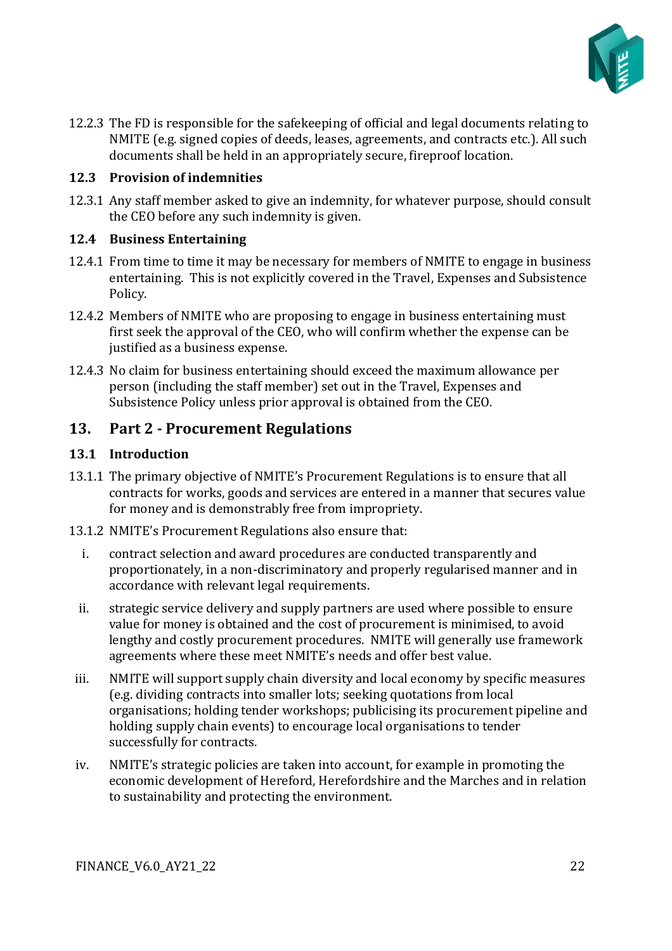

12.2.3 The FD is responsible for the safekeeping of official and legal documents relating to NMITE (e.g. signed copies of deeds, leases, agreements, and contracts etc.). All such documents shall be held in an appropriately secure, fireproof location.

#### **12.3 Provision of indemnities**

12.3.1 Any staff member asked to give an indemnity, for whatever purpose, should consult the CEO before any such indemnity is given.

#### **12.4 Business Entertaining**

- 12.4.1 From time to time it may be necessary for members of NMITE to engage in business entertaining. This is not explicitly covered in the Travel, Expenses and Subsistence Policy.
- 12.4.2 Members of NMITE who are proposing to engage in business entertaining must first seek the approval of the CEO, who will confirm whether the expense can be justified as a business expense.
- 12.4.3 No claim for business entertaining should exceed the maximum allowance per person (including the staff member) set out in the Travel, Expenses and Subsistence Policy unless prior approval is obtained from the CEO.

#### <span id="page-21-0"></span>**13. Part 2 - Procurement Regulations**

#### **13.1 Introduction**

- 13.1.1 The primary objective of NMITE's Procurement Regulations is to ensure that all contracts for works, goods and services are entered in a manner that secures value for money and is demonstrably free from impropriety.
- 13.1.2 NMITE's Procurement Regulations also ensure that:
	- i. contract selection and award procedures are conducted transparently and proportionately, in a non-discriminatory and properly regularised manner and in accordance with relevant legal requirements.
	- ii. strategic service delivery and supply partners are used where possible to ensure value for money is obtained and the cost of procurement is minimised, to avoid lengthy and costly procurement procedures. NMITE will generally use framework agreements where these meet NMITE's needs and offer best value.
- iii. NMITE will support supply chain diversity and local economy by specific measures (e.g. dividing contracts into smaller lots; seeking quotations from local organisations; holding tender workshops; publicising its procurement pipeline and holding supply chain events) to encourage local organisations to tender successfully for contracts.
- iv. NMITE's strategic policies are taken into account, for example in promoting the economic development of Hereford, Herefordshire and the Marches and in relation to sustainability and protecting the environment.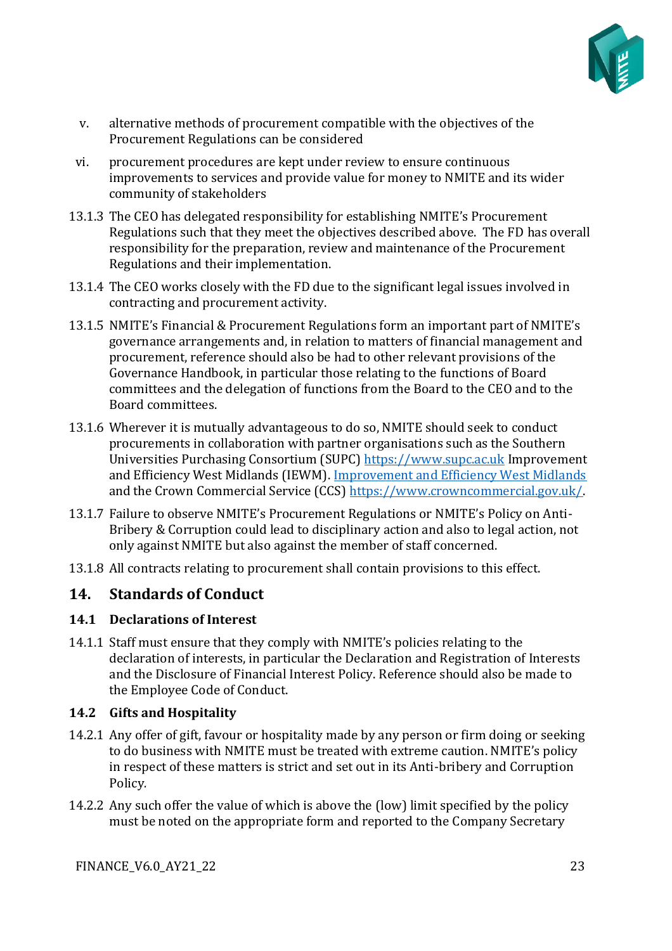

- v. alternative methods of procurement compatible with the objectives of the Procurement Regulations can be considered
- vi. procurement procedures are kept under review to ensure continuous improvements to services and provide value for money to NMITE and its wider community of stakeholders
- 13.1.3 The CEO has delegated responsibility for establishing NMITE's Procurement Regulations such that they meet the objectives described above. The FD has overall responsibility for the preparation, review and maintenance of the Procurement Regulations and their implementation.
- 13.1.4 The CEO works closely with the FD due to the significant legal issues involved in contracting and procurement activity.
- 13.1.5 NMITE's Financial & Procurement Regulations form an important part of NMITE's governance arrangements and, in relation to matters of financial management and procurement, reference should also be had to other relevant provisions of the Governance Handbook, in particular those relating to the functions of Board committees and the delegation of functions from the Board to the CEO and to the Board committees.
- 13.1.6 Wherever it is mutually advantageous to do so, NMITE should seek to conduct procurements in collaboration with partner organisations such as the Southern Universities Purchasing Consortium (SUPC) [https://www.supc.ac.uk](https://www.supc.ac.uk/) Improvement and Efficiency West Midlands (IEWM). [Improvement and Efficiency West Midlands](http://www.westmidlandsiep.gov.uk/what-we-do/commissioning-and-procurement/) and the Crown Commercial Service (CCS) [https://www.crowncommercial.gov.uk/.](https://gbr01.safelinks.protection.outlook.com/?url=https%3A%2F%2Fwww.crowncommercial.gov.uk%2F&data=04%7C01%7Ctina.benson%40nmite.ac.uk%7Cc48a4b8a016e4833a95108d8bd3c480d%7C18cdf9a89ae448ddaaf9edeb937bb22a%7C0%7C0%7C637467413894208272%7CUnknown%7CTWFpbGZsb3d8eyJWIjoiMC4wLjAwMDAiLCJQIjoiV2luMzIiLCJBTiI6Ik1haWwiLCJXVCI6Mn0%3D%7C1000&sdata=rSWc%2FF%2FPPbj89WAFwenft%2BKUAJR6dzp4tYC2G96DjKc%3D&reserved=0)
- 13.1.7 Failure to observe NMITE's Procurement Regulations or NMITE's Policy on Anti-Bribery & Corruption could lead to disciplinary action and also to legal action, not only against NMITE but also against the member of staff concerned.
- 13.1.8 All contracts relating to procurement shall contain provisions to this effect.

#### <span id="page-22-0"></span>**14. Standards of Conduct**

#### **14.1 Declarations of Interest**

14.1.1 Staff must ensure that they comply with NMITE's policies relating to the declaration of interests, in particular the Declaration and Registration of Interests and the Disclosure of Financial Interest Policy. Reference should also be made to the Employee Code of Conduct.

#### **14.2 Gifts and Hospitality**

- 14.2.1 Any offer of gift, favour or hospitality made by any person or firm doing or seeking to do business with NMITE must be treated with extreme caution. NMITE's policy in respect of these matters is strict and set out in its Anti-bribery and Corruption Policy*.*
- 14.2.2 Any such offer the value of which is above the (low) limit specified by the policy must be noted on the appropriate form and reported to the Company Secretary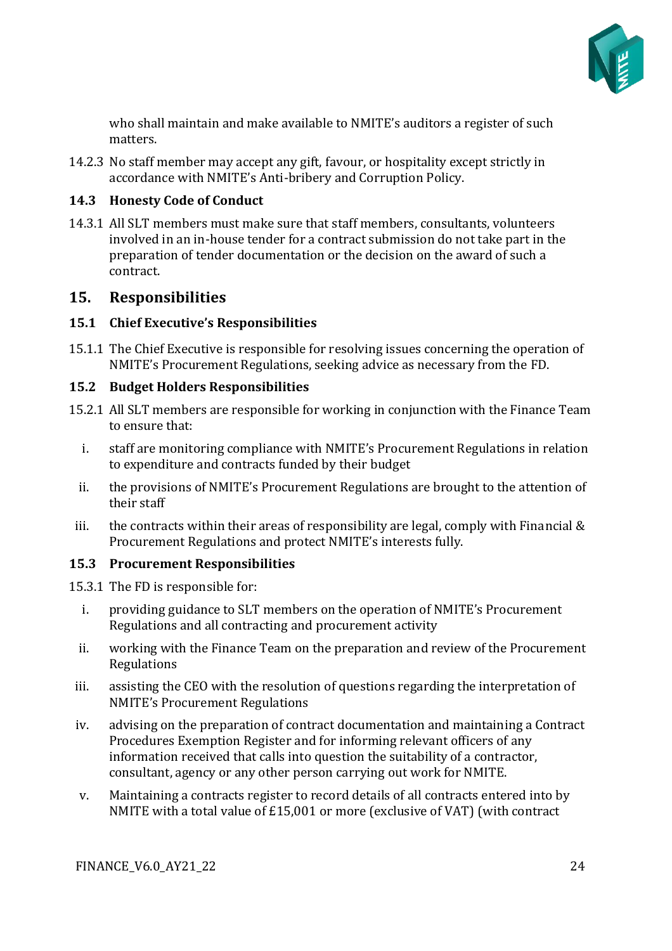

who shall maintain and make available to NMITE's auditors a register of such matters.

14.2.3 No staff member may accept any gift, favour, or hospitality except strictly in accordance with NMITE's Anti-bribery and Corruption Policy.

#### **14.3 Honesty Code of Conduct**

14.3.1 All SLT members must make sure that staff members, consultants, volunteers involved in an in-house tender for a contract submission do not take part in the preparation of tender documentation or the decision on the award of such a contract.

#### <span id="page-23-0"></span>**15. Responsibilities**

#### **15.1 Chief Executive's Responsibilities**

15.1.1 The Chief Executive is responsible for resolving issues concerning the operation of NMITE's Procurement Regulations, seeking advice as necessary from the FD.

#### **15.2 Budget Holders Responsibilities**

- 15.2.1 All SLT members are responsible for working in conjunction with the Finance Team to ensure that:
	- i. staff are monitoring compliance with NMITE's Procurement Regulations in relation to expenditure and contracts funded by their budget
	- ii. the provisions of NMITE's Procurement Regulations are brought to the attention of their staff
- iii. the contracts within their areas of responsibility are legal, comply with Financial  $\&$ Procurement Regulations and protect NMITE's interests fully.

#### **15.3 Procurement Responsibilities**

15.3.1 The FD is responsible for:

- i. providing guidance to SLT members on the operation of NMITE's Procurement Regulations and all contracting and procurement activity
- ii. working with the Finance Team on the preparation and review of the Procurement Regulations
- iii. assisting the CEO with the resolution of questions regarding the interpretation of NMITE's Procurement Regulations
- iv. advising on the preparation of contract documentation and maintaining a Contract Procedures Exemption Register and for informing relevant officers of any information received that calls into question the suitability of a contractor, consultant, agency or any other person carrying out work for NMITE.
- v. Maintaining a contracts register to record details of all contracts entered into by NMITE with a total value of £15,001 or more (exclusive of VAT) (with contract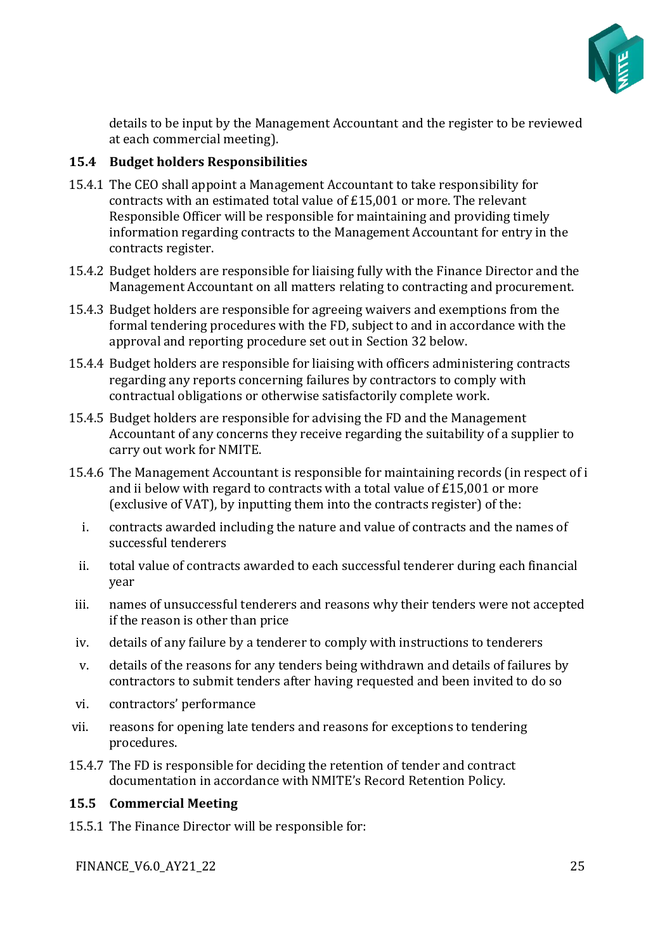

details to be input by the Management Accountant and the register to be reviewed at each commercial meeting).

#### **15.4 Budget holders Responsibilities**

- 15.4.1 The CEO shall appoint a Management Accountant to take responsibility for contracts with an estimated total value of £15,001 or more. The relevant Responsible Officer will be responsible for maintaining and providing timely information regarding contracts to the Management Accountant for entry in the contracts register.
- 15.4.2 Budget holders are responsible for liaising fully with the Finance Director and the Management Accountant on all matters relating to contracting and procurement.
- 15.4.3 Budget holders are responsible for agreeing waivers and exemptions from the formal tendering procedures with the FD, subject to and in accordance with the approval and reporting procedure set out in Section 32 below.
- 15.4.4 Budget holders are responsible for liaising with officers administering contracts regarding any reports concerning failures by contractors to comply with contractual obligations or otherwise satisfactorily complete work.
- 15.4.5 Budget holders are responsible for advising the FD and the Management Accountant of any concerns they receive regarding the suitability of a supplier to carry out work for NMITE.
- 15.4.6 The Management Accountant is responsible for maintaining records (in respect of i and ii below with regard to contracts with a total value of £15,001 or more (exclusive of VAT), by inputting them into the contracts register) of the:
	- i. contracts awarded including the nature and value of contracts and the names of successful tenderers
	- ii. total value of contracts awarded to each successful tenderer during each financial year
- iii. names of unsuccessful tenderers and reasons why their tenders were not accepted if the reason is other than price
- iv. details of any failure by a tenderer to comply with instructions to tenderers
- v. details of the reasons for any tenders being withdrawn and details of failures by contractors to submit tenders after having requested and been invited to do so
- vi. contractors' performance
- vii. reasons for opening late tenders and reasons for exceptions to tendering procedures.
- 15.4.7 The FD is responsible for deciding the retention of tender and contract documentation in accordance with NMITE's Record Retention Policy.

#### **15.5 Commercial Meeting**

15.5.1 The Finance Director will be responsible for:

FINANCE\_V6.0\_AY21\_22 25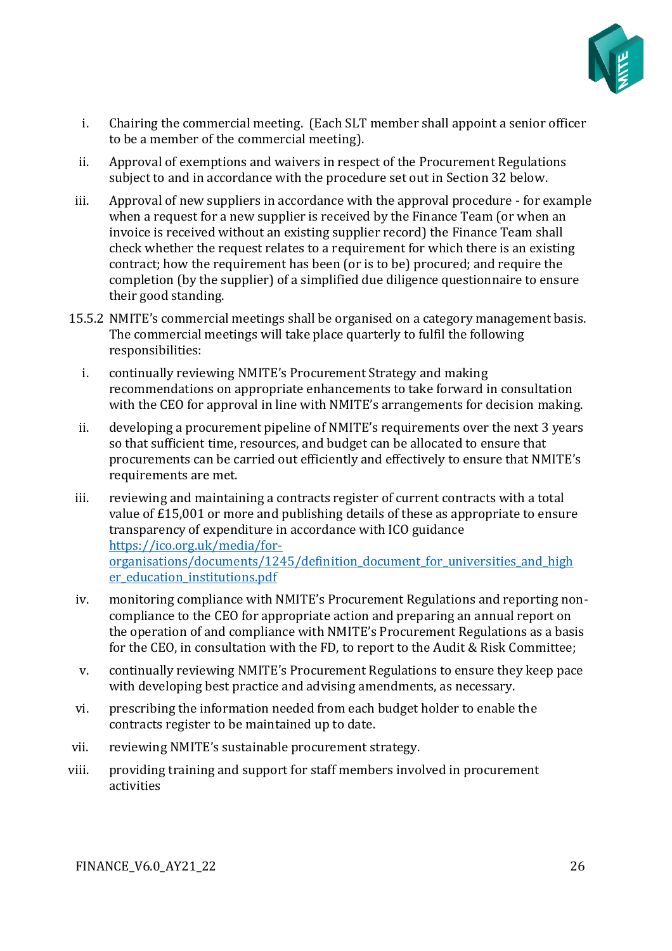

- i. Chairing the commercial meeting. (Each SLT member shall appoint a senior officer to be a member of the commercial meeting).
- ii. Approval of exemptions and waivers in respect of the Procurement Regulations subject to and in accordance with the procedure set out in Section 32 below.
- iii. Approval of new suppliers in accordance with the approval procedure for example when a request for a new supplier is received by the Finance Team (or when an invoice is received without an existing supplier record) the Finance Team shall check whether the request relates to a requirement for which there is an existing contract; how the requirement has been (or is to be) procured; and require the completion (by the supplier) of a simplified due diligence questionnaire to ensure their good standing.
- 15.5.2 NMITE's commercial meetings shall be organised on a category management basis. The commercial meetings will take place quarterly to fulfil the following responsibilities:
	- i. continually reviewing NMITE's Procurement Strategy and making recommendations on appropriate enhancements to take forward in consultation with the CEO for approval in line with NMITE's arrangements for decision making.
	- ii. developing a procurement pipeline of NMITE's requirements over the next 3 years so that sufficient time, resources, and budget can be allocated to ensure that procurements can be carried out efficiently and effectively to ensure that NMITE's requirements are met.
- iii. reviewing and maintaining a contracts register of current contracts with a total value of £15,001 or more and publishing details of these as appropriate to ensure transparency of expenditure in accordance with ICO guidance [https://ico.org.uk/media/for](https://ico.org.uk/media/for-organisations/documents/1245/definition_document_for_universities_and_higher_education_institutions.pdf)organisations/documents/1245/definition document for universities and high [er\\_education\\_institutions.pdf](https://ico.org.uk/media/for-organisations/documents/1245/definition_document_for_universities_and_higher_education_institutions.pdf)
- iv. monitoring compliance with NMITE's Procurement Regulations and reporting noncompliance to the CEO for appropriate action and preparing an annual report on the operation of and compliance with NMITE's Procurement Regulations as a basis for the CEO, in consultation with the FD, to report to the Audit & Risk Committee;
- v. continually reviewing NMITE's Procurement Regulations to ensure they keep pace with developing best practice and advising amendments, as necessary.
- vi. prescribing the information needed from each budget holder to enable the contracts register to be maintained up to date.
- vii. reviewing NMITE's sustainable procurement strategy.
- viii. providing training and support for staff members involved in procurement activities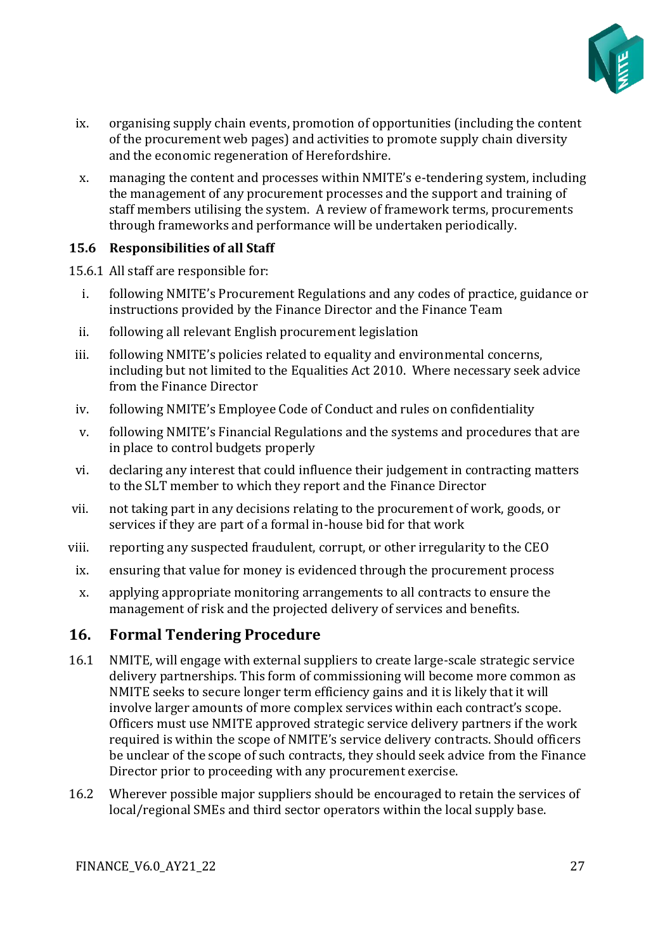

- ix. organising supply chain events, promotion of opportunities (including the content of the procurement web pages) and activities to promote supply chain diversity and the economic regeneration of Herefordshire.
- x. managing the content and processes within NMITE's e-tendering system, including the management of any procurement processes and the support and training of staff members utilising the system. A review of framework terms, procurements through frameworks and performance will be undertaken periodically.

#### **15.6 Responsibilities of all Staff**

15.6.1 All staff are responsible for:

- i. following NMITE's Procurement Regulations and any codes of practice, guidance or instructions provided by the Finance Director and the Finance Team
- ii. following all relevant English procurement legislation
- iii. following NMITE's policies related to equality and environmental concerns, including but not limited to the Equalities Act 2010. Where necessary seek advice from the Finance Director
- iv. following NMITE's Employee Code of Conduct and rules on confidentiality
- v. following NMITE's Financial Regulations and the systems and procedures that are in place to control budgets properly
- vi. declaring any interest that could influence their judgement in contracting matters to the SLT member to which they report and the Finance Director
- vii. not taking part in any decisions relating to the procurement of work, goods, or services if they are part of a formal in-house bid for that work
- viii. reporting any suspected fraudulent, corrupt, or other irregularity to the CEO
- ix. ensuring that value for money is evidenced through the procurement process
- x. applying appropriate monitoring arrangements to all contracts to ensure the management of risk and the projected delivery of services and benefits.

#### <span id="page-26-0"></span>**16. Formal Tendering Procedure**

- 16.1 NMITE, will engage with external suppliers to create large-scale strategic service delivery partnerships. This form of commissioning will become more common as NMITE seeks to secure longer term efficiency gains and it is likely that it will involve larger amounts of more complex services within each contract's scope. Officers must use NMITE approved strategic service delivery partners if the work required is within the scope of NMITE's service delivery contracts. Should officers be unclear of the scope of such contracts, they should seek advice from the Finance Director prior to proceeding with any procurement exercise.
- 16.2 Wherever possible major suppliers should be encouraged to retain the services of local/regional SMEs and third sector operators within the local supply base.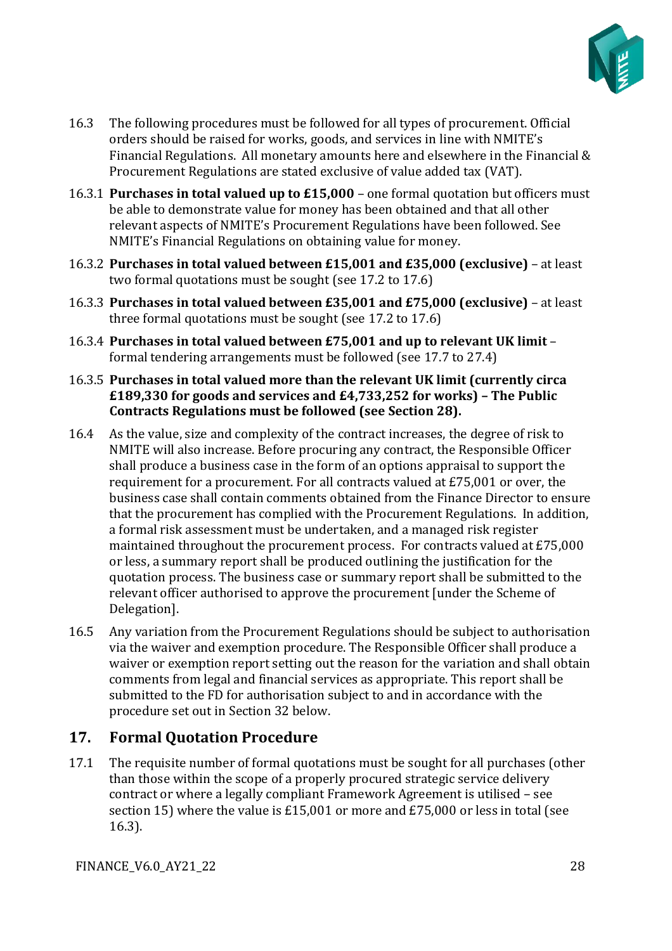

- 16.3 The following procedures must be followed for all types of procurement. Official orders should be raised for works, goods, and services in line with NMITE's Financial Regulations. All monetary amounts here and elsewhere in the Financial & Procurement Regulations are stated exclusive of value added tax (VAT).
- 16.3.1 **Purchases in total valued up to £15,000**  one formal quotation but officers must be able to demonstrate value for money has been obtained and that all other relevant aspects of NMITE's Procurement Regulations have been followed. See NMITE's Financial Regulations on obtaining value for money.
- 16.3.2 **Purchases in total valued between £15,001 and £35,000 (exclusive)**  at least two formal quotations must be sought (see 17.2 to 17.6)
- 16.3.3 **Purchases in total valued between £35,001 and £75,000 (exclusive)**  at least three formal quotations must be sought (see 17.2 to 17.6)
- 16.3.4 **Purchases in total valued between £75,001 and up to relevant UK limit**  formal tendering arrangements must be followed (see 17.7 to 27.4)
- 16.3.5 **Purchases in total valued more than the relevant UK limit (currently circa £189,330 for goods and services and £4,733,252 for works) – The Public Contracts Regulations must be followed (see Section 28).**
- 16.4 As the value, size and complexity of the contract increases, the degree of risk to NMITE will also increase. Before procuring any contract, the Responsible Officer shall produce a business case in the form of an options appraisal to support the requirement for a procurement. For all contracts valued at £75,001 or over, the business case shall contain comments obtained from the Finance Director to ensure that the procurement has complied with the Procurement Regulations. In addition, a formal risk assessment must be undertaken, and a managed risk register maintained throughout the procurement process. For contracts valued at £75,000 or less, a summary report shall be produced outlining the justification for the quotation process. The business case or summary report shall be submitted to the relevant officer authorised to approve the procurement [under the Scheme of Delegation].
- 16.5 Any variation from the Procurement Regulations should be subject to authorisation via the waiver and exemption procedure. The Responsible Officer shall produce a waiver or exemption report setting out the reason for the variation and shall obtain comments from legal and financial services as appropriate. This report shall be submitted to the FD for authorisation subject to and in accordance with the procedure set out in Section 32 below.

## <span id="page-27-0"></span>**17. Formal Quotation Procedure**

17.1 The requisite number of formal quotations must be sought for all purchases (other than those within the scope of a properly procured strategic service delivery contract or where a legally compliant Framework Agreement is utilised – see section 15) where the value is £15,001 or more and £75,000 or less in total (see 16.3).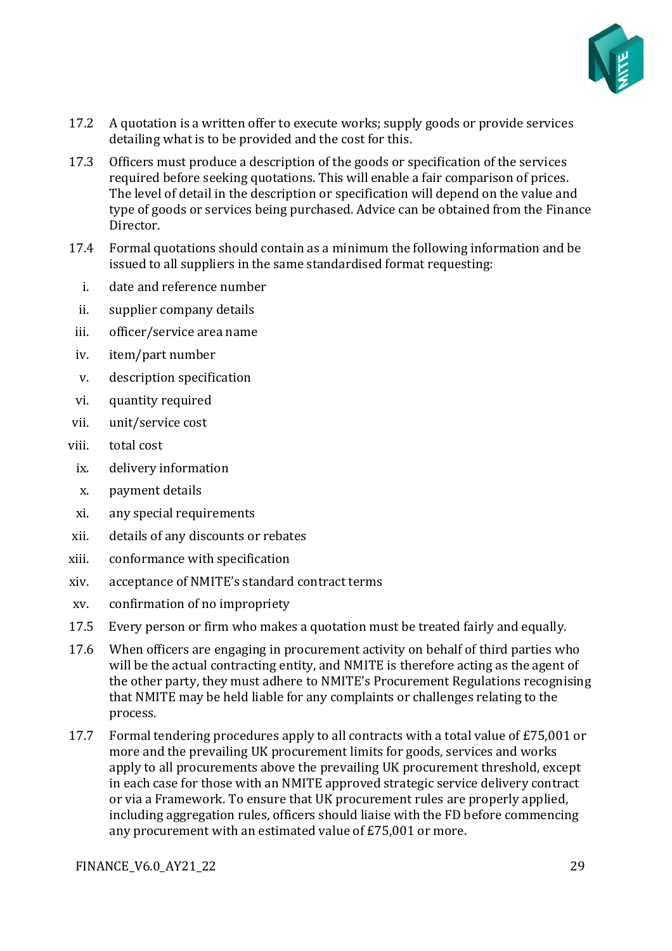

- 17.2 A quotation is a written offer to execute works; supply goods or provide services detailing what is to be provided and the cost for this.
- 17.3 Officers must produce a description of the goods or specification of the services required before seeking quotations. This will enable a fair comparison of prices. The level of detail in the description or specification will depend on the value and type of goods or services being purchased. Advice can be obtained from the Finance Director.
- 17.4 Formal quotations should contain as a minimum the following information and be issued to all suppliers in the same standardised format requesting:
	- i. date and reference number
	- ii. supplier company details
- iii. officer/service area name
- iv. item/part number
- v. description specification
- vi. quantity required
- vii. unit/service cost
- viii. total cost
- ix. delivery information
- x. payment details
- xi. any special requirements
- xii. details of any discounts or rebates
- xiii. conformance with specification
- xiv. acceptance of NMITE's standard contract terms
- xv. confirmation of no impropriety
- 17.5 Every person or firm who makes a quotation must be treated fairly and equally.
- 17.6 When officers are engaging in procurement activity on behalf of third parties who will be the actual contracting entity, and NMITE is therefore acting as the agent of the other party, they must adhere to NMITE's Procurement Regulations recognising that NMITE may be held liable for any complaints or challenges relating to the process.
- 17.7 Formal tendering procedures apply to all contracts with a total value of £75,001 or more and the prevailing UK procurement limits for goods, services and works apply to all procurements above the prevailing UK procurement threshold, except in each case for those with an NMITE approved strategic service delivery contract or via a Framework. To ensure that UK procurement rules are properly applied, including aggregation rules, officers should liaise with the FD before commencing any procurement with an estimated value of £75,001 or more.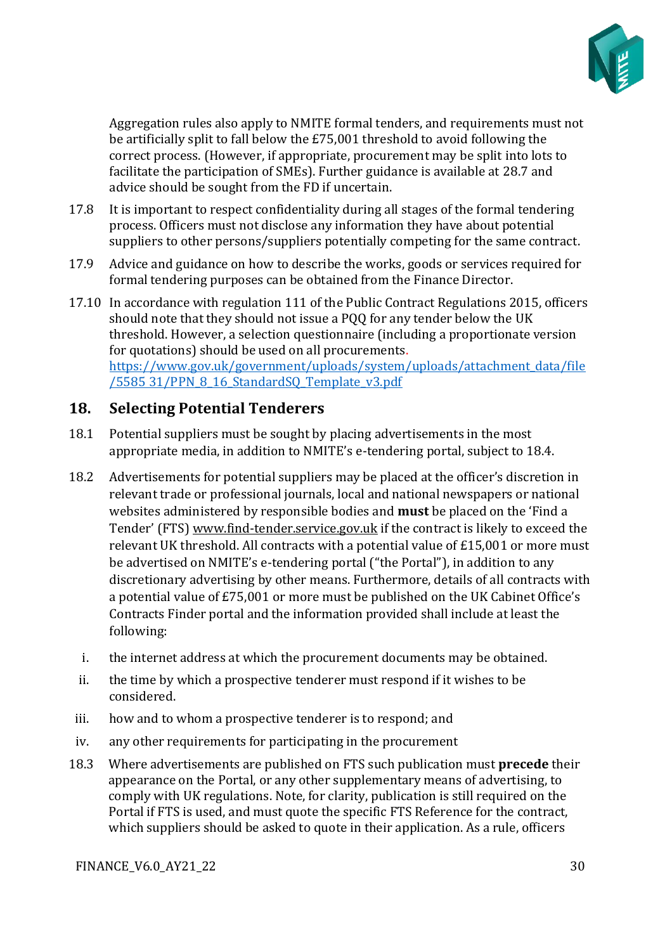

Aggregation rules also apply to NMITE formal tenders, and requirements must not be artificially split to fall below the £75,001 threshold to avoid following the correct process. (However, if appropriate, procurement may be split into lots to facilitate the participation of SMEs). Further guidance is available at 28.7 and advice should be sought from the FD if uncertain.

- 17.8 It is important to respect confidentiality during all stages of the formal tendering process. Officers must not disclose any information they have about potential suppliers to other persons/suppliers potentially competing for the same contract.
- 17.9 Advice and guidance on how to describe the works, goods or services required for formal tendering purposes can be obtained from the Finance Director.
- 17.10 In accordance with regulation 111 of the Public Contract Regulations 2015, officers should note that they should not issue a PQQ for any tender below the UK threshold. However, a selection questionnaire (including a proportionate version for quotations) should be used on all procurements[.](https://www.gov.uk/government/uploads/system/uploads/attachment_data/file/558531/PPN_8_16_StandardSQ_Template_v3.pdf) [https://www.gov.uk/government/uploads/system/uploads/attachment\\_data/file](https://www.gov.uk/government/uploads/system/uploads/attachment_data/file/558531/PPN_8_16_StandardSQ_Template_v3.pdf) [/5585](https://www.gov.uk/government/uploads/system/uploads/attachment_data/file/558531/PPN_8_16_StandardSQ_Template_v3.pdf) [31/PPN\\_8\\_16\\_StandardSQ\\_Template\\_v3.pdf](https://www.gov.uk/government/uploads/system/uploads/attachment_data/file/558531/PPN_8_16_StandardSQ_Template_v3.pdf)

## <span id="page-29-0"></span>**18. Selecting Potential Tenderers**

- 18.1 Potential suppliers must be sought by placing advertisements in the most appropriate media, in addition to NMITE's e-tendering portal, subject to 18.4.
- 18.2 Advertisements for potential suppliers may be placed at the officer's discretion in relevant trade or professional journals, local and national newspapers or national websites administered by responsible bodies and **must** be placed on the 'Find a Tender' (FTS) [www.find-tender.service.gov.uk](https://nmite.sharepoint.com/Academic%20Registry/Policy%20Framework/Policy%20Framework_21-22_under%20review/Policies%20AY20_21/Finance%20Policies%20and%20procedures/www.find-tender.service.gov.uk) if the contract is likely to exceed the relevant UK threshold. All contracts with a potential value of £15,001 or more must be advertised on NMITE's e-tendering portal ("the Portal"), in addition to any discretionary advertising by other means. Furthermore, details of all contracts with a potential value of £75,001 or more must be published on the UK Cabinet Office's Contracts Finder portal and the information provided shall include at least the following:
	- i. the internet address at which the procurement documents may be obtained.
	- ii. the time by which a prospective tenderer must respond if it wishes to be considered.
- iii. how and to whom a prospective tenderer is to respond; and
- iv. any other requirements for participating in the procurement
- 18.3 Where advertisements are published on FTS such publication must **precede** their appearance on the Portal, or any other supplementary means of advertising, to comply with UK regulations. Note, for clarity, publication is still required on the Portal if FTS is used, and must quote the specific FTS Reference for the contract, which suppliers should be asked to quote in their application. As a rule, officers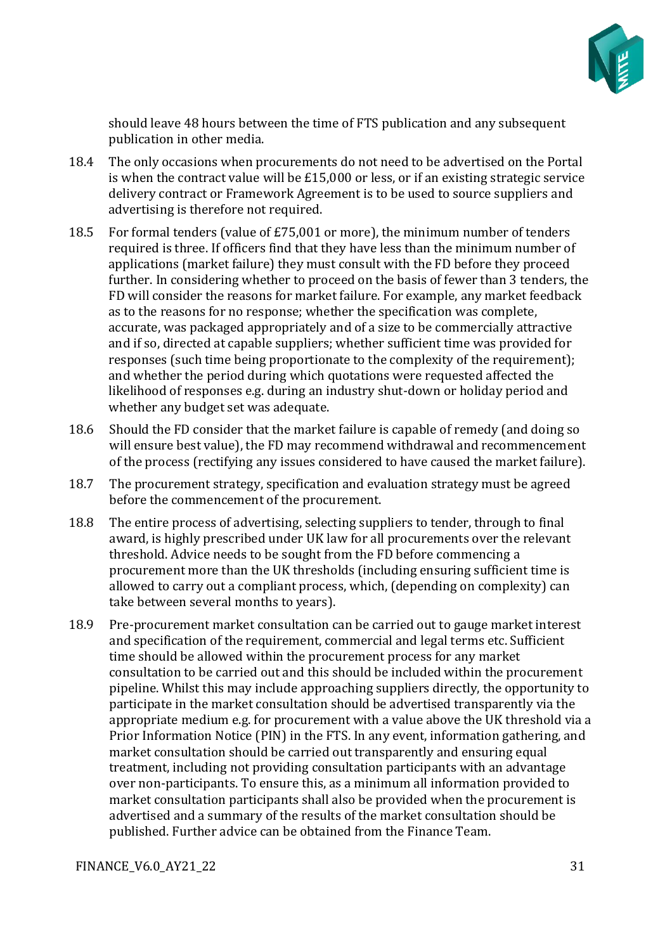

should leave 48 hours between the time of FTS publication and any subsequent publication in other media.

- 18.4 The only occasions when procurements do not need to be advertised on the Portal is when the contract value will be £15,000 or less, or if an existing strategic service delivery contract or Framework Agreement is to be used to source suppliers and advertising is therefore not required.
- 18.5 For formal tenders (value of £75,001 or more), the minimum number of tenders required is three. If officers find that they have less than the minimum number of applications (market failure) they must consult with the FD before they proceed further. In considering whether to proceed on the basis of fewer than 3 tenders, the FD will consider the reasons for market failure. For example, any market feedback as to the reasons for no response; whether the specification was complete, accurate, was packaged appropriately and of a size to be commercially attractive and if so, directed at capable suppliers; whether sufficient time was provided for responses (such time being proportionate to the complexity of the requirement); and whether the period during which quotations were requested affected the likelihood of responses e.g. during an industry shut-down or holiday period and whether any budget set was adequate.
- 18.6 Should the FD consider that the market failure is capable of remedy (and doing so will ensure best value), the FD may recommend withdrawal and recommencement of the process (rectifying any issues considered to have caused the market failure).
- 18.7 The procurement strategy, specification and evaluation strategy must be agreed before the commencement of the procurement.
- 18.8 The entire process of advertising, selecting suppliers to tender, through to final award, is highly prescribed under UK law for all procurements over the relevant threshold. Advice needs to be sought from the FD before commencing a procurement more than the UK thresholds (including ensuring sufficient time is allowed to carry out a compliant process, which, (depending on complexity) can take between several months to years).
- 18.9 Pre-procurement market consultation can be carried out to gauge market interest and specification of the requirement, commercial and legal terms etc. Sufficient time should be allowed within the procurement process for any market consultation to be carried out and this should be included within the procurement pipeline. Whilst this may include approaching suppliers directly, the opportunity to participate in the market consultation should be advertised transparently via the appropriate medium e.g. for procurement with a value above the UK threshold via a Prior Information Notice (PIN) in the FTS. In any event, information gathering, and market consultation should be carried out transparently and ensuring equal treatment, including not providing consultation participants with an advantage over non-participants. To ensure this, as a minimum all information provided to market consultation participants shall also be provided when the procurement is advertised and a summary of the results of the market consultation should be published. Further advice can be obtained from the Finance Team.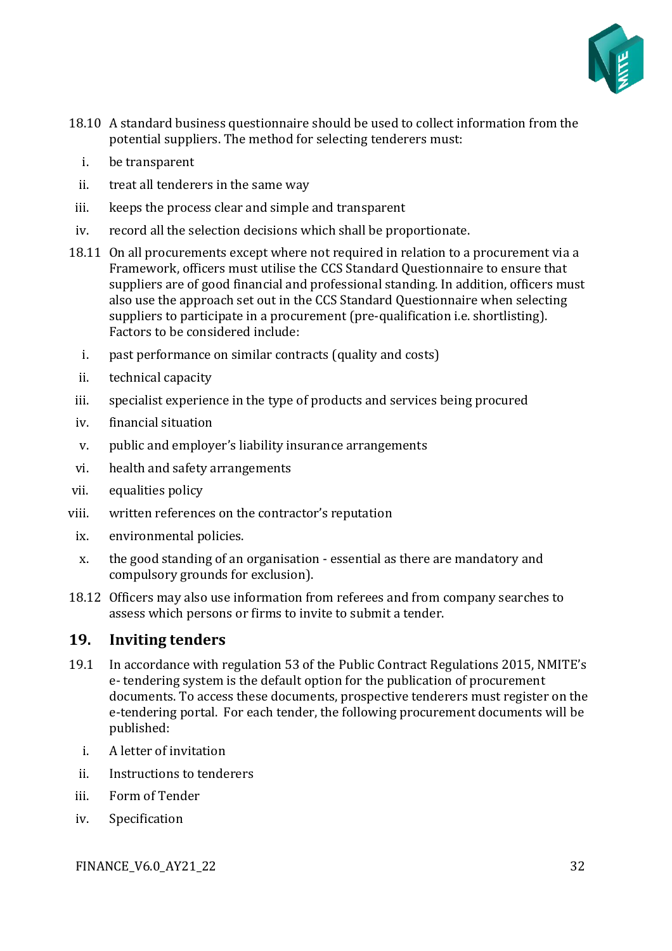

- 18.10 A standard business questionnaire should be used to collect information from the potential suppliers. The method for selecting tenderers must:
	- i. be transparent
	- ii. treat all tenderers in the same way
- iii. keeps the process clear and simple and transparent
- iv. record all the selection decisions which shall be proportionate.
- 18.11 On all procurements except where not required in relation to a procurement via a Framework, officers must utilise the CCS Standard Questionnaire to ensure that suppliers are of good financial and professional standing. In addition, officers must also use the approach set out in the CCS Standard Questionnaire when selecting suppliers to participate in a procurement (pre-qualification i.e. shortlisting). Factors to be considered include:
	- i. past performance on similar contracts (quality and costs)
	- ii. technical capacity
- iii. specialist experience in the type of products and services being procured
- iv. financial situation
- v. public and employer's liability insurance arrangements
- vi. health and safety arrangements
- vii. equalities policy
- viii. written references on the contractor's reputation
	- ix. environmental policies.
	- x. the good standing of an organisation essential as there are mandatory and compulsory grounds for exclusion).
- 18.12 Officers may also use information from referees and from company searches to assess which persons or firms to invite to submit a tender.

#### <span id="page-31-0"></span>**19. Inviting tenders**

- 19.1 In accordance with regulation 53 of the Public Contract Regulations 2015, NMITE's e- tendering system is the default option for the publication of procurement documents. To access these documents, prospective tenderers must register on the e-tendering portal. For each tender, the following procurement documents will be published:
	- i. A letter of invitation
	- ii. Instructions to tenderers
- iii. Form of Tender
- iv. Specification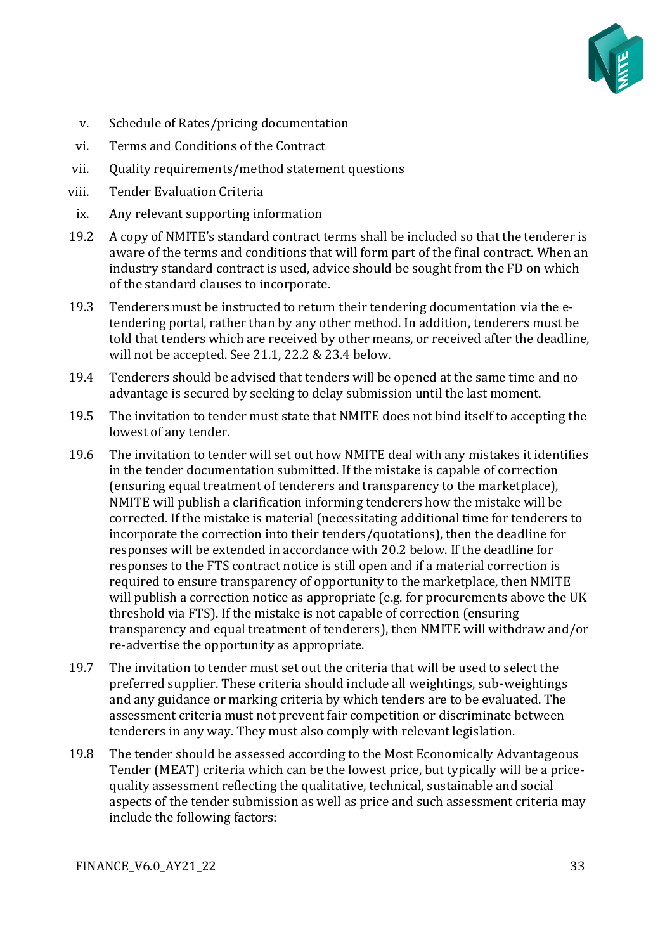

- v. Schedule of Rates/pricing documentation
- vi. Terms and Conditions of the Contract
- vii. Quality requirements/method statement questions
- viii. Tender Evaluation Criteria
- ix. Any relevant supporting information
- 19.2 A copy of NMITE's standard contract terms shall be included so that the tenderer is aware of the terms and conditions that will form part of the final contract. When an industry standard contract is used, advice should be sought from the FD on which of the standard clauses to incorporate.
- 19.3 Tenderers must be instructed to return their tendering documentation via the etendering portal, rather than by any other method. In addition, tenderers must be told that tenders which are received by other means, or received after the deadline, will not be accepted. See 21.1, 22.2 & 23.4 below.
- 19.4 Tenderers should be advised that tenders will be opened at the same time and no advantage is secured by seeking to delay submission until the last moment.
- 19.5 The invitation to tender must state that NMITE does not bind itself to accepting the lowest of any tender.
- 19.6 The invitation to tender will set out how NMITE deal with any mistakes it identifies in the tender documentation submitted. If the mistake is capable of correction (ensuring equal treatment of tenderers and transparency to the marketplace), NMITE will publish a clarification informing tenderers how the mistake will be corrected. If the mistake is material (necessitating additional time for tenderers to incorporate the correction into their tenders/quotations), then the deadline for responses will be extended in accordance with 20.2 below. If the deadline for responses to the FTS contract notice is still open and if a material correction is required to ensure transparency of opportunity to the marketplace, then NMITE will publish a correction notice as appropriate (e.g. for procurements above the UK threshold via FTS). If the mistake is not capable of correction (ensuring transparency and equal treatment of tenderers), then NMITE will withdraw and/or re-advertise the opportunity as appropriate.
- 19.7 The invitation to tender must set out the criteria that will be used to select the preferred supplier. These criteria should include all weightings, sub-weightings and any guidance or marking criteria by which tenders are to be evaluated. The assessment criteria must not prevent fair competition or discriminate between tenderers in any way. They must also comply with relevant legislation.
- 19.8 The tender should be assessed according to the Most Economically Advantageous Tender (MEAT) criteria which can be the lowest price, but typically will be a pricequality assessment reflecting the qualitative, technical, sustainable and social aspects of the tender submission as well as price and such assessment criteria may include the following factors: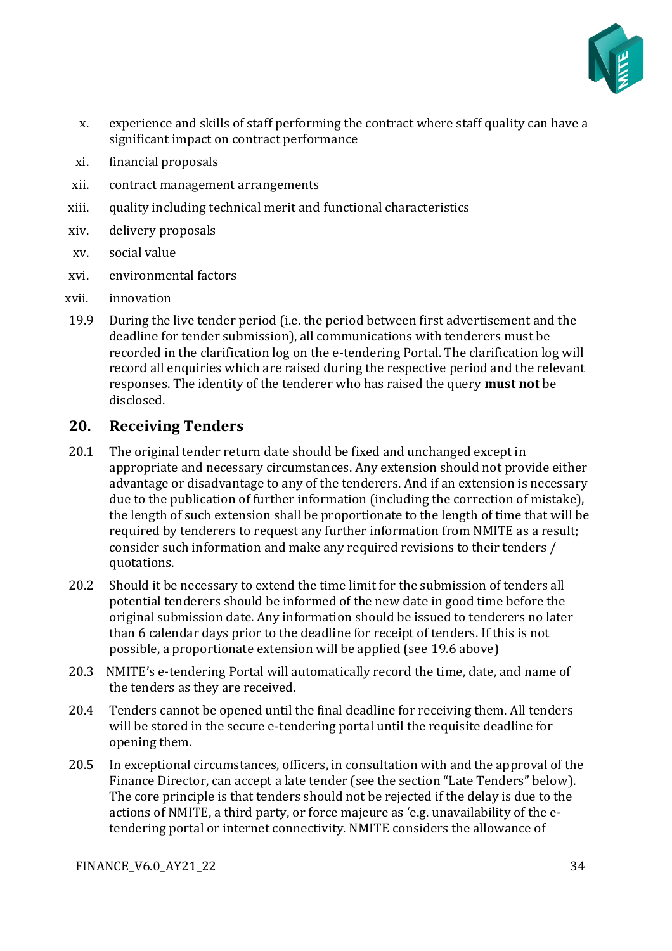

- x. experience and skills of staff performing the contract where staff quality can have a significant impact on contract performance
- xi. financial proposals
- xii. contract management arrangements
- xiii. quality including technical merit and functional characteristics
- xiv. delivery proposals
- xv. social value
- xvi. environmental factors
- xvii. innovation
- 19.9 During the live tender period (i.e. the period between first advertisement and the deadline for tender submission), all communications with tenderers must be recorded in the clarification log on the e-tendering Portal. The clarification log will record all enquiries which are raised during the respective period and the relevant responses. The identity of the tenderer who has raised the query **must not** be disclosed.

## <span id="page-33-0"></span>**20. Receiving Tenders**

- 20.1 The original tender return date should be fixed and unchanged except in appropriate and necessary circumstances. Any extension should not provide either advantage or disadvantage to any of the tenderers. And if an extension is necessary due to the publication of further information (including the correction of mistake), the length of such extension shall be proportionate to the length of time that will be required by tenderers to request any further information from NMITE as a result; consider such information and make any required revisions to their tenders / quotations.
- 20.2 Should it be necessary to extend the time limit for the submission of tenders all potential tenderers should be informed of the new date in good time before the original submission date. Any information should be issued to tenderers no later than 6 calendar days prior to the deadline for receipt of tenders. If this is not possible, a proportionate extension will be applied (see 19.6 above)
- 20.3 NMITE's e-tendering Portal will automatically record the time, date, and name of the tenders as they are received.
- 20.4 Tenders cannot be opened until the final deadline for receiving them. All tenders will be stored in the secure e-tendering portal until the requisite deadline for opening them.
- 20.5 In exceptional circumstances, officers, in consultation with and the approval of the Finance Director, can accept a late tender (see the section "Late Tenders" below). The core principle is that tenders should not be rejected if the delay is due to the actions of NMITE, a third party, or force majeure as 'e.g. unavailability of the etendering portal or internet connectivity. NMITE considers the allowance of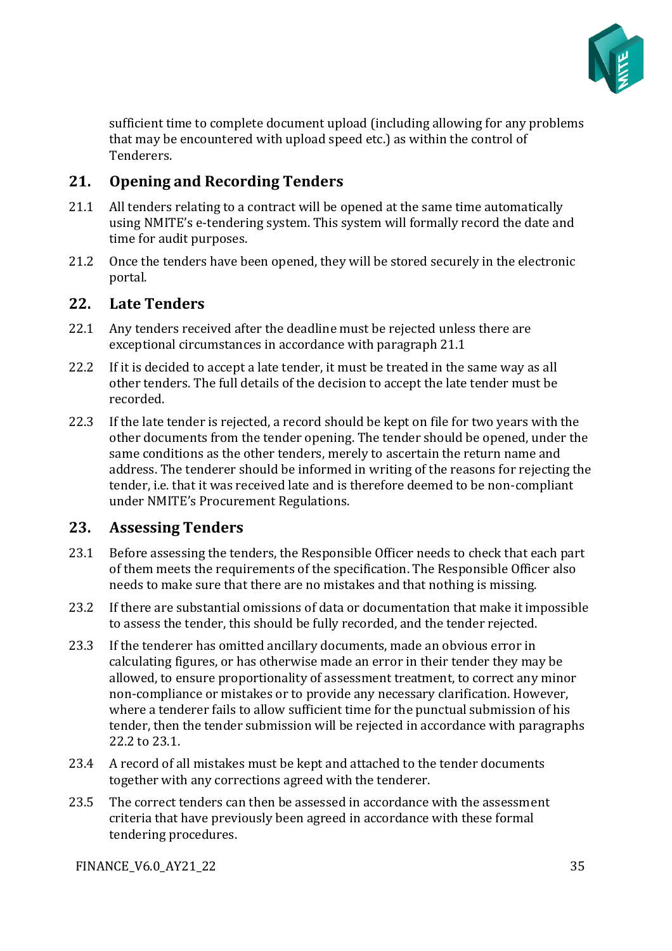

sufficient time to complete document upload (including allowing for any problems that may be encountered with upload speed etc.) as within the control of Tenderers.

## <span id="page-34-0"></span>**21. Opening and Recording Tenders**

- 21.1 All tenders relating to a contract will be opened at the same time automatically using NMITE's e-tendering system. This system will formally record the date and time for audit purposes.
- 21.2 Once the tenders have been opened, they will be stored securely in the electronic portal.

#### <span id="page-34-1"></span>**22. Late Tenders**

- 22.1 Any tenders received after the deadline must be rejected unless there are exceptional circumstances in accordance with paragraph 21.1
- 22.2 If it is decided to accept a late tender, it must be treated in the same way as all other tenders. The full details of the decision to accept the late tender must be recorded.
- 22.3 If the late tender is rejected, a record should be kept on file for two years with the other documents from the tender opening. The tender should be opened, under the same conditions as the other tenders, merely to ascertain the return name and address. The tenderer should be informed in writing of the reasons for rejecting the tender, i.e. that it was received late and is therefore deemed to be non-compliant under NMITE's Procurement Regulations.

#### <span id="page-34-2"></span>**23. Assessing Tenders**

- 23.1 Before assessing the tenders, the Responsible Officer needs to check that each part of them meets the requirements of the specification. The Responsible Officer also needs to make sure that there are no mistakes and that nothing is missing.
- 23.2 If there are substantial omissions of data or documentation that make it impossible to assess the tender, this should be fully recorded, and the tender rejected.
- 23.3 If the tenderer has omitted ancillary documents, made an obvious error in calculating figures, or has otherwise made an error in their tender they may be allowed, to ensure proportionality of assessment treatment, to correct any minor non-compliance or mistakes or to provide any necessary clarification. However, where a tenderer fails to allow sufficient time for the punctual submission of his tender, then the tender submission will be rejected in accordance with paragraphs 22.2 to 23.1.
- 23.4 A record of all mistakes must be kept and attached to the tender documents together with any corrections agreed with the tenderer.
- 23.5 The correct tenders can then be assessed in accordance with the assessment criteria that have previously been agreed in accordance with these formal tendering procedures.

FINANCE\_V6.0\_AY21\_22 35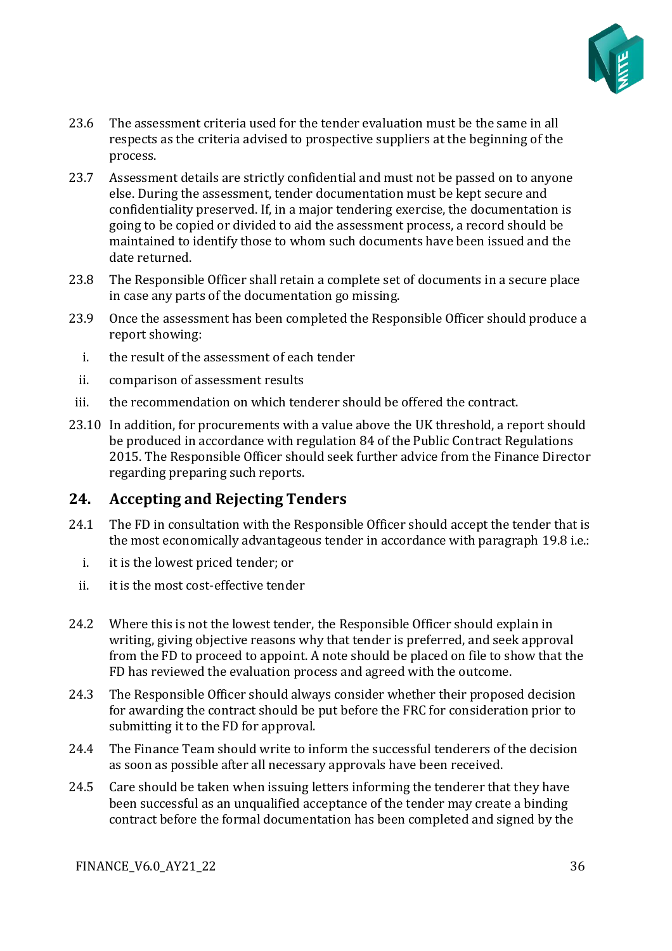

- 23.6 The assessment criteria used for the tender evaluation must be the same in all respects as the criteria advised to prospective suppliers at the beginning of the process.
- 23.7 Assessment details are strictly confidential and must not be passed on to anyone else. During the assessment, tender documentation must be kept secure and confidentiality preserved. If, in a major tendering exercise, the documentation is going to be copied or divided to aid the assessment process, a record should be maintained to identify those to whom such documents have been issued and the date returned.
- 23.8 The Responsible Officer shall retain a complete set of documents in a secure place in case any parts of the documentation go missing.
- 23.9 Once the assessment has been completed the Responsible Officer should produce a report showing:
	- i. the result of the assessment of each tender
	- ii. comparison of assessment results
- iii. the recommendation on which tenderer should be offered the contract.
- 23.10 In addition, for procurements with a value above the UK threshold, a report should be produced in accordance with regulation 84 of the Public Contract Regulations 2015. The Responsible Officer should seek further advice from the Finance Director regarding preparing such reports.

#### <span id="page-35-0"></span>**24. Accepting and Rejecting Tenders**

- 24.1 The FD in consultation with the Responsible Officer should accept the tender that is the most economically advantageous tender in accordance with paragraph 19.8 i.e.:
	- i. it is the lowest priced tender; or
	- ii. it is the most cost-effective tender
- 24.2 Where this is not the lowest tender, the Responsible Officer should explain in writing, giving objective reasons why that tender is preferred, and seek approval from the FD to proceed to appoint. A note should be placed on file to show that the FD has reviewed the evaluation process and agreed with the outcome.
- 24.3 The Responsible Officer should always consider whether their proposed decision for awarding the contract should be put before the FRC for consideration prior to submitting it to the FD for approval.
- 24.4 The Finance Team should write to inform the successful tenderers of the decision as soon as possible after all necessary approvals have been received.
- 24.5 Care should be taken when issuing letters informing the tenderer that they have been successful as an unqualified acceptance of the tender may create a binding contract before the formal documentation has been completed and signed by the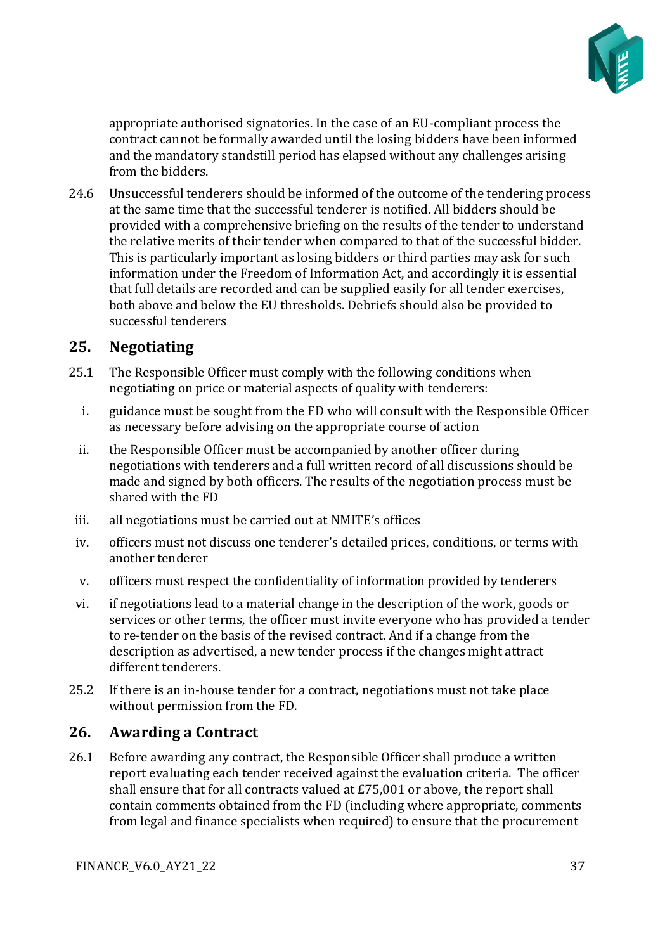

appropriate authorised signatories. In the case of an EU-compliant process the contract cannot be formally awarded until the losing bidders have been informed and the mandatory standstill period has elapsed without any challenges arising from the bidders.

24.6 Unsuccessful tenderers should be informed of the outcome of the tendering process at the same time that the successful tenderer is notified. All bidders should be provided with a comprehensive briefing on the results of the tender to understand the relative merits of their tender when compared to that of the successful bidder. This is particularly important as losing bidders or third parties may ask for such information under the Freedom of Information Act, and accordingly it is essential that full details are recorded and can be supplied easily for all tender exercises, both above and below the EU thresholds. Debriefs should also be provided to successful tenderers

## <span id="page-36-0"></span>**25. Negotiating**

- 25.1 The Responsible Officer must comply with the following conditions when negotiating on price or material aspects of quality with tenderers:
	- i. guidance must be sought from the FD who will consult with the Responsible Officer as necessary before advising on the appropriate course of action
	- ii. the Responsible Officer must be accompanied by another officer during negotiations with tenderers and a full written record of all discussions should be made and signed by both officers. The results of the negotiation process must be shared with the FD
- iii. all negotiations must be carried out at NMITE's offices
- iv. officers must not discuss one tenderer's detailed prices, conditions, or terms with another tenderer
- v. officers must respect the confidentiality of information provided by tenderers
- vi. if negotiations lead to a material change in the description of the work, goods or services or other terms, the officer must invite everyone who has provided a tender to re-tender on the basis of the revised contract. And if a change from the description as advertised, a new tender process if the changes might attract different tenderers.
- 25.2 If there is an in-house tender for a contract, negotiations must not take place without permission from the FD.

## <span id="page-36-1"></span>**26. Awarding a Contract**

26.1 Before awarding any contract, the Responsible Officer shall produce a written report evaluating each tender received against the evaluation criteria. The officer shall ensure that for all contracts valued at £75,001 or above, the report shall contain comments obtained from the FD (including where appropriate, comments from legal and finance specialists when required) to ensure that the procurement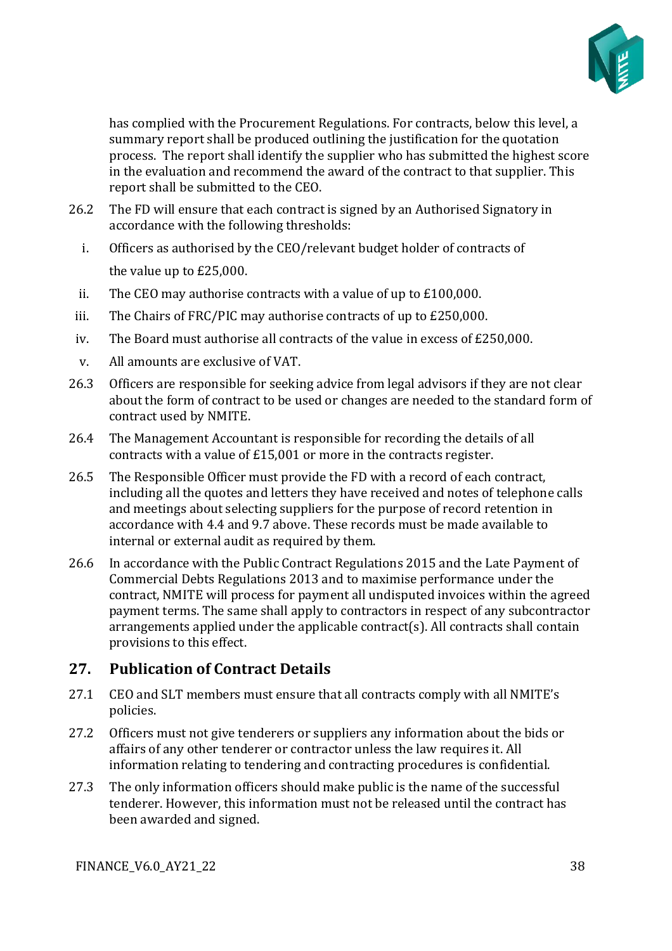

has complied with the Procurement Regulations. For contracts, below this level, a summary report shall be produced outlining the justification for the quotation process. The report shall identify the supplier who has submitted the highest score in the evaluation and recommend the award of the contract to that supplier. This report shall be submitted to the CEO.

- 26.2 The FD will ensure that each contract is signed by an Authorised Signatory in accordance with the following thresholds:
	- i. Officers as authorised by the CEO/relevant budget holder of contracts of the value up to £25,000.
- ii. The CEO may authorise contracts with a value of up to £100,000.
- iii. The Chairs of FRC/PIC may authorise contracts of up to £250,000.
- iv. The Board must authorise all contracts of the value in excess of £250,000.
- v. All amounts are exclusive of VAT.
- 26.3 Officers are responsible for seeking advice from legal advisors if they are not clear about the form of contract to be used or changes are needed to the standard form of contract used by NMITE.
- 26.4 The Management Accountant is responsible for recording the details of all contracts with a value of £15,001 or more in the contracts register.
- 26.5 The Responsible Officer must provide the FD with a record of each contract, including all the quotes and letters they have received and notes of telephone calls and meetings about selecting suppliers for the purpose of record retention in accordance with 4.4 and 9.7 above. These records must be made available to internal or external audit as required by them.
- 26.6 In accordance with the Public Contract Regulations 2015 and the Late Payment of Commercial Debts Regulations 2013 and to maximise performance under the contract, NMITE will process for payment all undisputed invoices within the agreed payment terms. The same shall apply to contractors in respect of any subcontractor arrangements applied under the applicable contract(s). All contracts shall contain provisions to this effect.

## <span id="page-37-0"></span>**27. Publication of Contract Details**

- 27.1 CEO and SLT members must ensure that all contracts comply with all NMITE's policies.
- 27.2 Officers must not give tenderers or suppliers any information about the bids or affairs of any other tenderer or contractor unless the law requires it. All information relating to tendering and contracting procedures is confidential.
- 27.3 The only information officers should make public is the name of the successful tenderer. However, this information must not be released until the contract has been awarded and signed.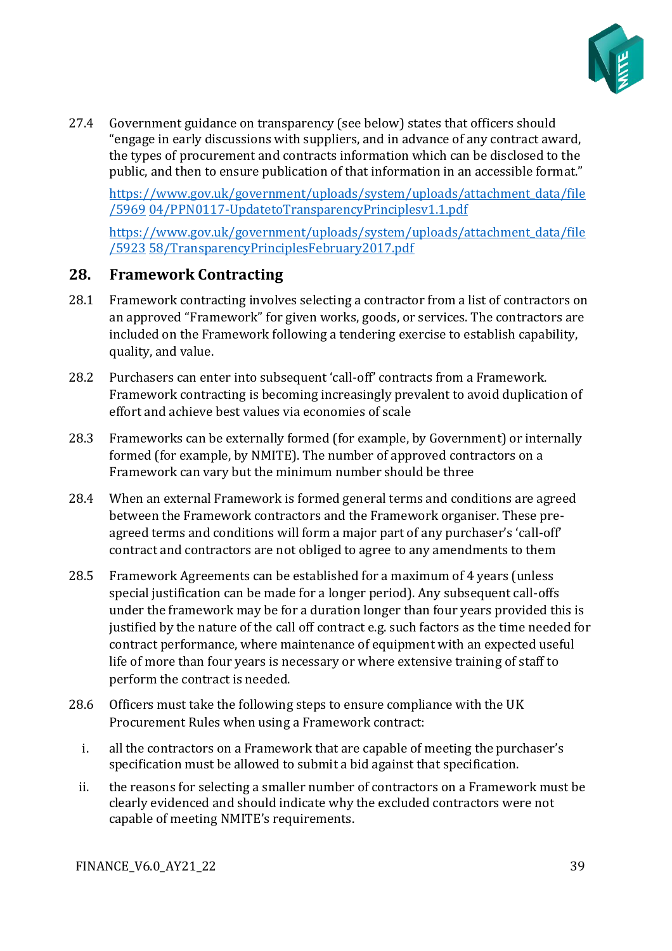

27.4 Government guidance on transparency (see below) states that officers should "engage in early discussions with suppliers, and in advance of any contract award, the types of procurement and contracts information which can be disclosed to the public, and then to ensure publication of that information in an accessible format."

[https://www.gov.uk/government/uploads/system/uploads/attachment\\_data/file](https://www.gov.uk/government/uploads/system/uploads/attachment_data/file/5969) [/5969](https://www.gov.uk/government/uploads/system/uploads/attachment_data/file/5969) [04/PPN0117-UpdatetoTransparencyPrinciplesv1.1.pdf](https://www.gov.uk/government/uploads/system/uploads/attachment_data/file/596904/PPN0117-UpdatetoTransparencyPrinciplesv1.1.pdf)

[https://www.gov.uk/government/uploads/system/uploads/attachment\\_data/file](https://www.gov.uk/government/uploads/system/uploads/attachment_data/file/592358/TransparencyPrinciplesFebruary2017.pdf) [/5923](https://www.gov.uk/government/uploads/system/uploads/attachment_data/file/592358/TransparencyPrinciplesFebruary2017.pdf) [58/TransparencyPrinciplesFebruary2017.pdf](https://www.gov.uk/government/uploads/system/uploads/attachment_data/file/592358/TransparencyPrinciplesFebruary2017.pdf)

#### <span id="page-38-0"></span>**28. Framework Contracting**

- 28.1 Framework contracting involves selecting a contractor from a list of contractors on an approved "Framework" for given works, goods, or services. The contractors are included on the Framework following a tendering exercise to establish capability, quality, and value.
- 28.2 Purchasers can enter into subsequent 'call-off' contracts from a Framework. Framework contracting is becoming increasingly prevalent to avoid duplication of effort and achieve best values via economies of scale
- 28.3 Frameworks can be externally formed (for example, by Government) or internally formed (for example, by NMITE). The number of approved contractors on a Framework can vary but the minimum number should be three
- 28.4 When an external Framework is formed general terms and conditions are agreed between the Framework contractors and the Framework organiser. These preagreed terms and conditions will form a major part of any purchaser's 'call-off' contract and contractors are not obliged to agree to any amendments to them
- 28.5 Framework Agreements can be established for a maximum of 4 years (unless special justification can be made for a longer period). Any subsequent call-offs under the framework may be for a duration longer than four years provided this is justified by the nature of the call off contract e.g. such factors as the time needed for contract performance, where maintenance of equipment with an expected useful life of more than four years is necessary or where extensive training of staff to perform the contract is needed.
- 28.6 Officers must take the following steps to ensure compliance with the UK Procurement Rules when using a Framework contract:
	- i. all the contractors on a Framework that are capable of meeting the purchaser's specification must be allowed to submit a bid against that specification.
	- ii. the reasons for selecting a smaller number of contractors on a Framework must be clearly evidenced and should indicate why the excluded contractors were not capable of meeting NMITE's requirements.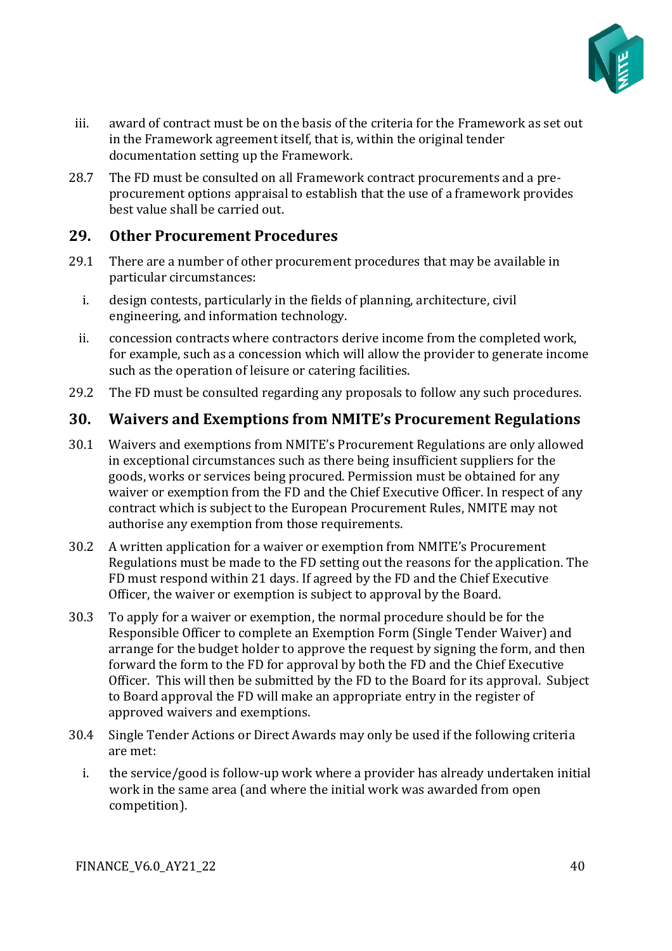

- iii. award of contract must be on the basis of the criteria for the Framework as set out in the Framework agreement itself, that is, within the original tender documentation setting up the Framework.
- 28.7 The FD must be consulted on all Framework contract procurements and a preprocurement options appraisal to establish that the use of a framework provides best value shall be carried out.

## <span id="page-39-0"></span>**29. Other Procurement Procedures**

- 29.1 There are a number of other procurement procedures that may be available in particular circumstances:
	- i. design contests, particularly in the fields of planning, architecture, civil engineering, and information technology.
	- ii. concession contracts where contractors derive income from the completed work, for example, such as a concession which will allow the provider to generate income such as the operation of leisure or catering facilities.
- 29.2 The FD must be consulted regarding any proposals to follow any such procedures.

#### <span id="page-39-1"></span>**30. Waivers and Exemptions from NMITE's Procurement Regulations**

- 30.1 Waivers and exemptions from NMITE's Procurement Regulations are only allowed in exceptional circumstances such as there being insufficient suppliers for the goods, works or services being procured. Permission must be obtained for any waiver or exemption from the FD and the Chief Executive Officer. In respect of any contract which is subject to the European Procurement Rules, NMITE may not authorise any exemption from those requirements.
- 30.2 A written application for a waiver or exemption from NMITE's Procurement Regulations must be made to the FD setting out the reasons for the application. The FD must respond within 21 days. If agreed by the FD and the Chief Executive Officer, the waiver or exemption is subject to approval by the Board.
- 30.3 To apply for a waiver or exemption, the normal procedure should be for the Responsible Officer to complete an Exemption Form (Single Tender Waiver) and arrange for the budget holder to approve the request by signing the form, and then forward the form to the FD for approval by both the FD and the Chief Executive Officer. This will then be submitted by the FD to the Board for its approval. Subject to Board approval the FD will make an appropriate entry in the register of approved waivers and exemptions.
- 30.4 Single Tender Actions or Direct Awards may only be used if the following criteria are met:
	- i. the service/good is follow-up work where a provider has already undertaken initial work in the same area (and where the initial work was awarded from open competition).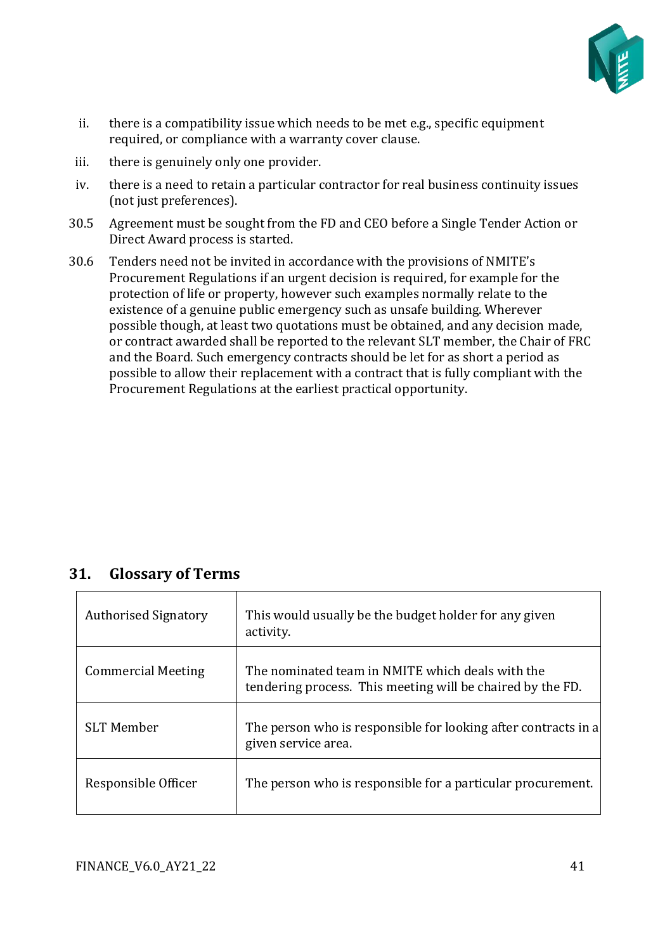

- ii. there is a compatibility issue which needs to be met e.g., specific equipment required, or compliance with a warranty cover clause.
- iii. there is genuinely only one provider.
- iv. there is a need to retain a particular contractor for real business continuity issues (not just preferences).
- 30.5 Agreement must be sought from the FD and CEO before a Single Tender Action or Direct Award process is started.
- 30.6 Tenders need not be invited in accordance with the provisions of NMITE's Procurement Regulations if an urgent decision is required, for example for the protection of life or property, however such examples normally relate to the existence of a genuine public emergency such as unsafe building. Wherever possible though, at least two quotations must be obtained, and any decision made, or contract awarded shall be reported to the relevant SLT member, the Chair of FRC and the Board. Such emergency contracts should be let for as short a period as possible to allow their replacement with a contract that is fully compliant with the Procurement Regulations at the earliest practical opportunity.

## <span id="page-40-0"></span>**31. Glossary of Terms**

| <b>Authorised Signatory</b> | This would usually be the budget holder for any given<br>activity.                                             |
|-----------------------------|----------------------------------------------------------------------------------------------------------------|
| <b>Commercial Meeting</b>   | The nominated team in NMITE which deals with the<br>tendering process. This meeting will be chaired by the FD. |
| <b>SLT Member</b>           | The person who is responsible for looking after contracts in a<br>given service area.                          |
| Responsible Officer         | The person who is responsible for a particular procurement.                                                    |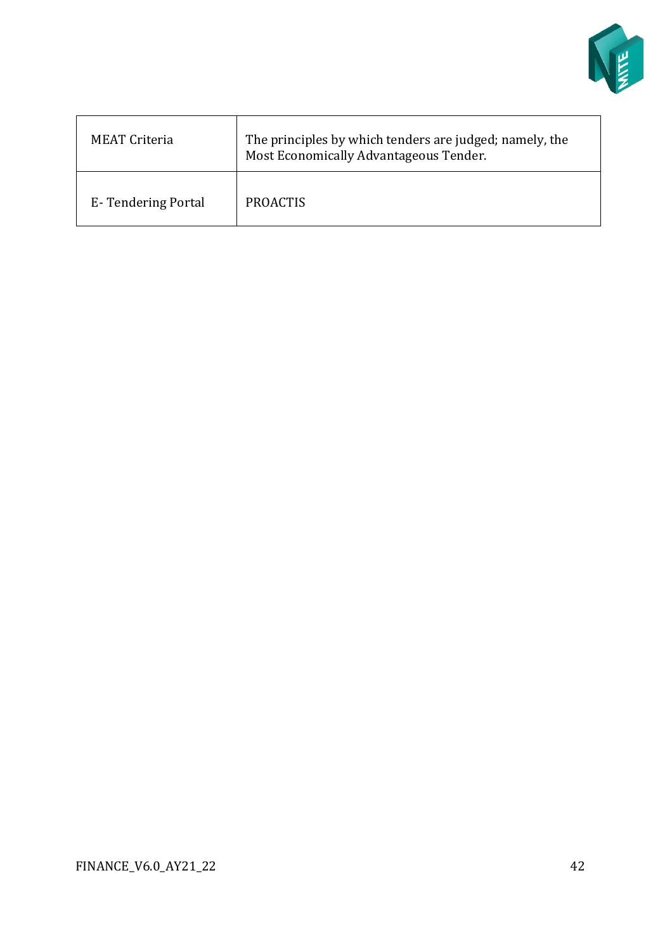

| <b>MEAT Criteria</b> | The principles by which tenders are judged; namely, the<br>Most Economically Advantageous Tender. |
|----------------------|---------------------------------------------------------------------------------------------------|
| E-Tendering Portal   | <b>PROACTIS</b>                                                                                   |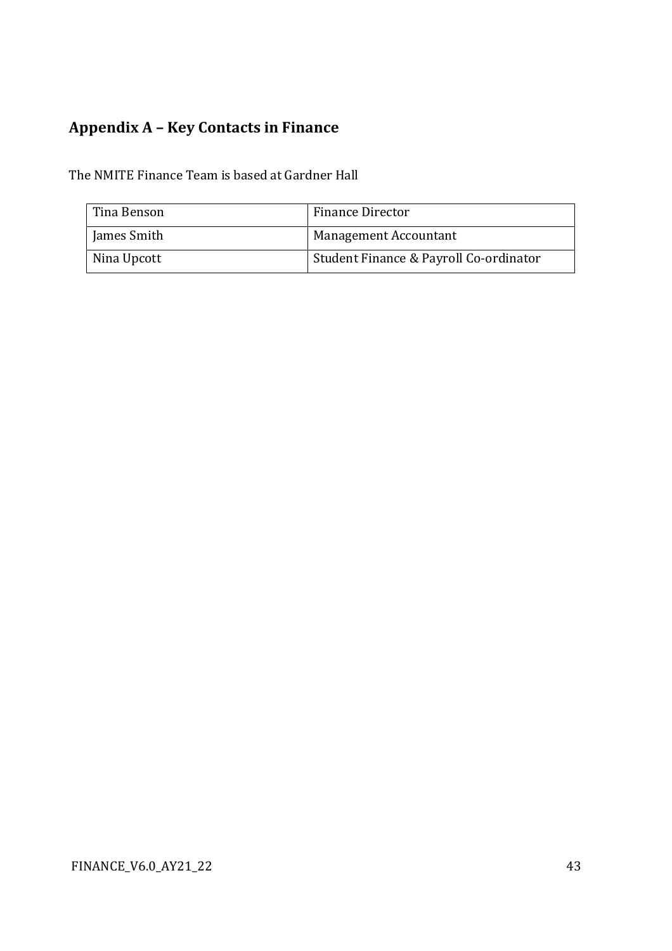## <span id="page-42-0"></span>**Appendix A – Key Contacts in Finance**

The NMITE Finance Team is based at Gardner Hall

| Tina Benson | Finance Director                       |
|-------------|----------------------------------------|
| James Smith | Management Accountant                  |
| Nina Upcott | Student Finance & Payroll Co-ordinator |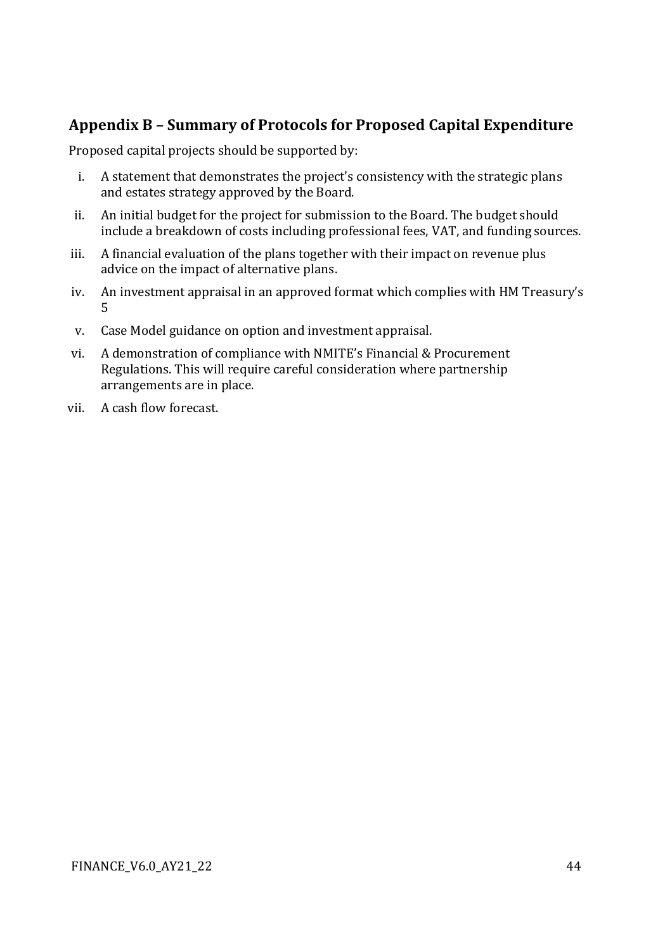## <span id="page-43-0"></span>**Appendix B – Summary of Protocols for Proposed Capital Expenditure**

Proposed capital projects should be supported by:

- i. A statement that demonstrates the project's consistency with the strategic plans and estates strategy approved by the Board.
- ii. An initial budget for the project for submission to the Board. The budget should include a breakdown of costs including professional fees, VAT, and funding sources.
- iii. A financial evaluation of the plans together with their impact on revenue plus advice on the impact of alternative plans.
- iv. An investment appraisal in an approved format which complies with HM Treasury's 5
- v. Case Model guidance on option and investment appraisal.
- vi. A demonstration of compliance with NMITE's Financial & Procurement Regulations. This will require careful consideration where partnership arrangements are in place.
- vii. A cash flow forecast.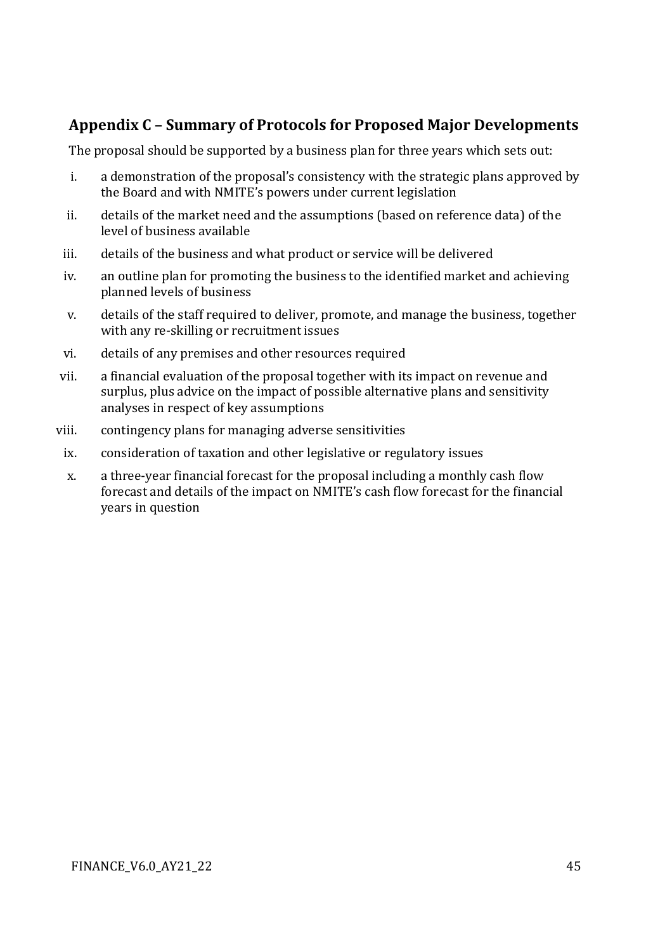## <span id="page-44-0"></span>**Appendix C – Summary of Protocols for Proposed Major Developments**

The proposal should be supported by a business plan for three years which sets out:

- i. a demonstration of the proposal's consistency with the strategic plans approved by the Board and with NMITE's powers under current legislation
- ii. details of the market need and the assumptions (based on reference data) of the level of business available
- iii. details of the business and what product or service will be delivered
- iv. an outline plan for promoting the business to the identified market and achieving planned levels of business
- v. details of the staff required to deliver, promote, and manage the business, together with any re-skilling or recruitment issues
- vi. details of any premises and other resources required
- vii. a financial evaluation of the proposal together with its impact on revenue and surplus, plus advice on the impact of possible alternative plans and sensitivity analyses in respect of key assumptions
- viii. contingency plans for managing adverse sensitivities
- ix. consideration of taxation and other legislative or regulatory issues
- x. a three-year financial forecast for the proposal including a monthly cash flow forecast and details of the impact on NMITE's cash flow forecast for the financial years in question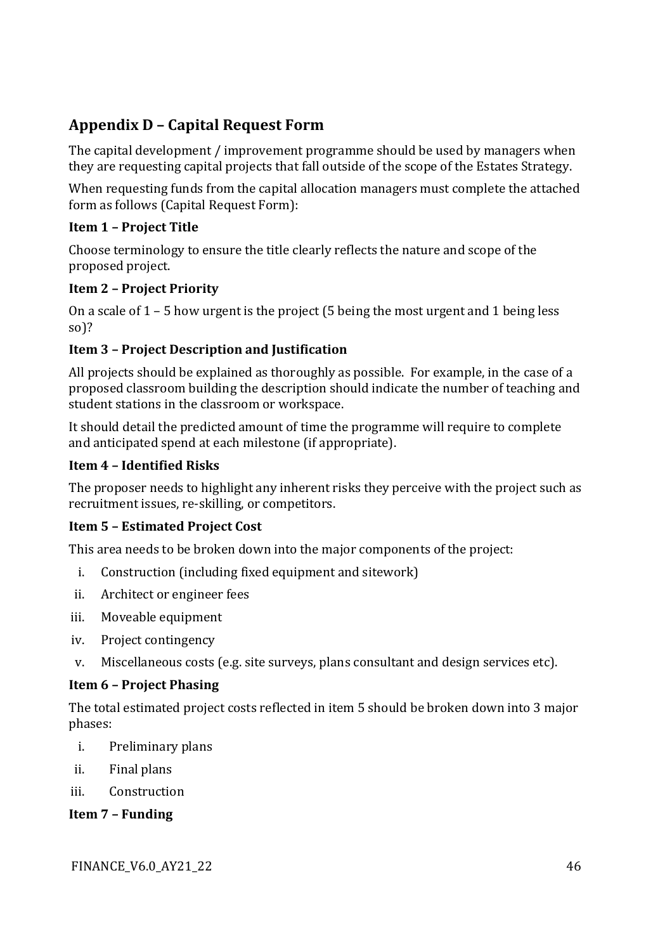## <span id="page-45-0"></span>**Appendix D – Capital Request Form**

The capital development / improvement programme should be used by managers when they are requesting capital projects that fall outside of the scope of the Estates Strategy.

When requesting funds from the capital allocation managers must complete the attached form as follows (Capital Request Form):

#### **Item 1 – Project Title**

Choose terminology to ensure the title clearly reflects the nature and scope of the proposed project.

#### **Item 2 – Project Priority**

On a scale of 1 – 5 how urgent is the project (5 being the most urgent and 1 being less so)?

#### **Item 3 – Project Description and Justification**

All projects should be explained as thoroughly as possible. For example, in the case of a proposed classroom building the description should indicate the number of teaching and student stations in the classroom or workspace.

It should detail the predicted amount of time the programme will require to complete and anticipated spend at each milestone (if appropriate).

#### **Item 4 – Identified Risks**

The proposer needs to highlight any inherent risks they perceive with the project such as recruitment issues, re-skilling, or competitors.

#### **Item 5 – Estimated Project Cost**

This area needs to be broken down into the major components of the project:

- i. Construction (including fixed equipment and sitework)
- ii. Architect or engineer fees
- iii. Moveable equipment
- iv. Project contingency
- v. Miscellaneous costs (e.g. site surveys, plans consultant and design services etc).

#### **Item 6 – Project Phasing**

The total estimated project costs reflected in item 5 should be broken down into 3 major phases:

- i. Preliminary plans
- ii. Final plans
- iii. Construction

**Item 7 – Funding**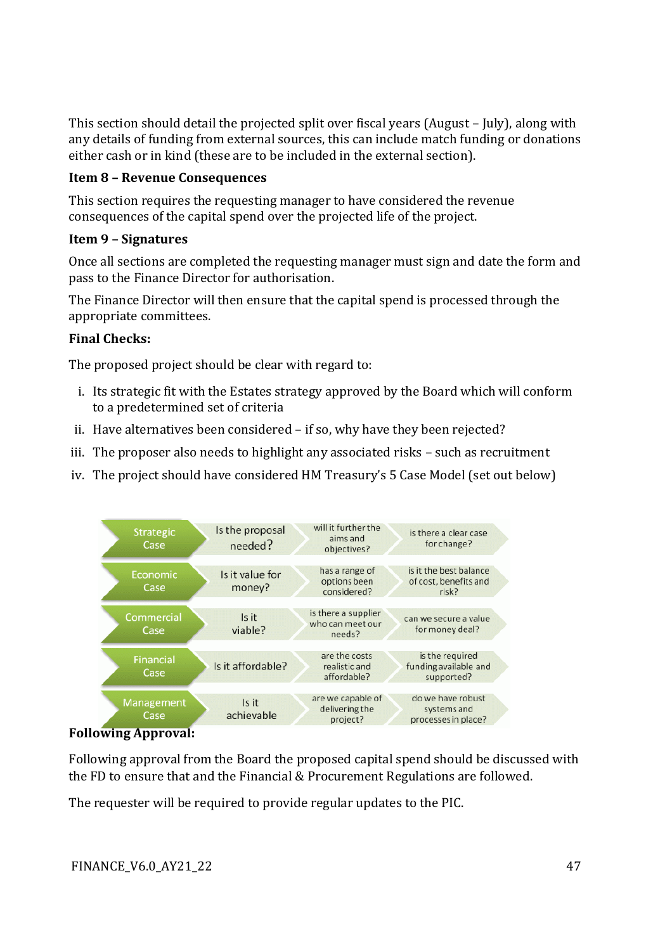This section should detail the projected split over fiscal years (August – July), along with any details of funding from external sources, this can include match funding or donations either cash or in kind (these are to be included in the external section).

#### **Item 8 – Revenue Consequences**

This section requires the requesting manager to have considered the revenue consequences of the capital spend over the projected life of the project.

#### **Item 9 – Signatures**

Once all sections are completed the requesting manager must sign and date the form and pass to the Finance Director for authorisation.

The Finance Director will then ensure that the capital spend is processed through the appropriate committees.

#### **Final Checks:**

The proposed project should be clear with regard to:

- i. Its strategic fit with the Estates strategy approved by the Board which will conform to a predetermined set of criteria
- ii. Have alternatives been considered if so, why have they been rejected?
- iii. The proposer also needs to highlight any associated risks such as recruitment
- iv. The project should have considered HM Treasury's 5 Case Model (set out below)



**Following Approval:**

Following approval from the Board the proposed capital spend should be discussed with the FD to ensure that and the Financial & Procurement Regulations are followed.

The requester will be required to provide regular updates to the PIC.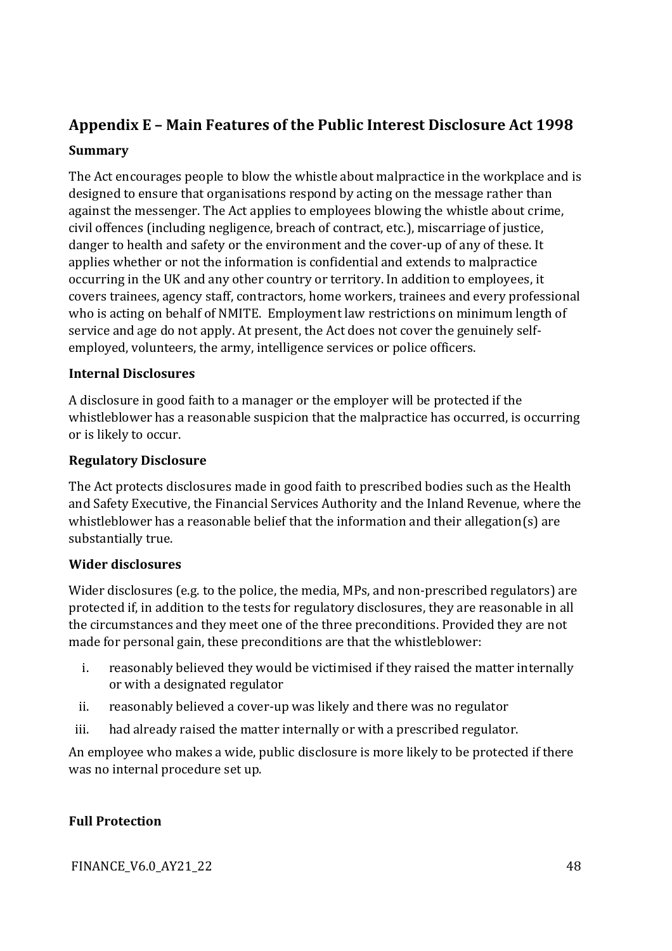## <span id="page-47-0"></span>**Appendix E – Main Features of the Public Interest Disclosure Act 1998**

#### **Summary**

The Act encourages people to blow the whistle about malpractice in the workplace and is designed to ensure that organisations respond by acting on the message rather than against the messenger. The Act applies to employees blowing the whistle about crime, civil offences (including negligence, breach of contract, etc.), miscarriage of justice, danger to health and safety or the environment and the cover-up of any of these. It applies whether or not the information is confidential and extends to malpractice occurring in the UK and any other country or territory. In addition to employees, it covers trainees, agency staff, contractors, home workers, trainees and every professional who is acting on behalf of NMITE. Employment law restrictions on minimum length of service and age do not apply. At present, the Act does not cover the genuinely selfemployed, volunteers, the army, intelligence services or police officers.

#### **Internal Disclosures**

A disclosure in good faith to a manager or the employer will be protected if the whistleblower has a reasonable suspicion that the malpractice has occurred, is occurring or is likely to occur.

#### **Regulatory Disclosure**

The Act protects disclosures made in good faith to prescribed bodies such as the Health and Safety Executive, the Financial Services Authority and the Inland Revenue, where the whistleblower has a reasonable belief that the information and their allegation(s) are substantially true.

#### **Wider disclosures**

Wider disclosures (e.g. to the police, the media, MPs, and non-prescribed regulators) are protected if, in addition to the tests for regulatory disclosures, they are reasonable in all the circumstances and they meet one of the three preconditions. Provided they are not made for personal gain, these preconditions are that the whistleblower:

- i. reasonably believed they would be victimised if they raised the matter internally or with a designated regulator
- ii. reasonably believed a cover-up was likely and there was no regulator
- iii. had already raised the matter internally or with a prescribed regulator.

An employee who makes a wide, public disclosure is more likely to be protected if there was no internal procedure set up.

#### **Full Protection**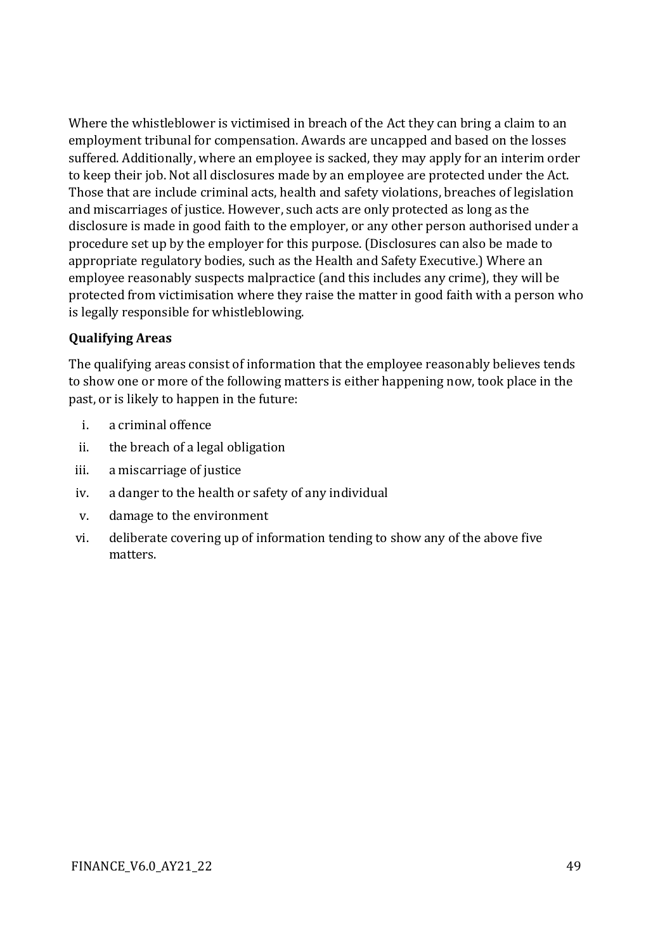Where the whistleblower is victimised in breach of the Act they can bring a claim to an employment tribunal for compensation. Awards are uncapped and based on the losses suffered. Additionally, where an employee is sacked, they may apply for an interim order to keep their job. Not all disclosures made by an employee are protected under the Act. Those that are include criminal acts, health and safety violations, breaches of legislation and miscarriages of justice. However, such acts are only protected as long as the disclosure is made in good faith to the employer, or any other person authorised under a procedure set up by the employer for this purpose. (Disclosures can also be made to appropriate regulatory bodies, such as the Health and Safety Executive.) Where an employee reasonably suspects malpractice (and this includes any crime), they will be protected from victimisation where they raise the matter in good faith with a person who is legally responsible for whistleblowing.

#### **Qualifying Areas**

The qualifying areas consist of information that the employee reasonably believes tends to show one or more of the following matters is either happening now, took place in the past, or is likely to happen in the future:

- i. a criminal offence
- ii. the breach of a legal obligation
- iii. a miscarriage of justice
- iv. a danger to the health or safety of any individual
- v. damage to the environment
- vi. deliberate covering up of information tending to show any of the above five matters.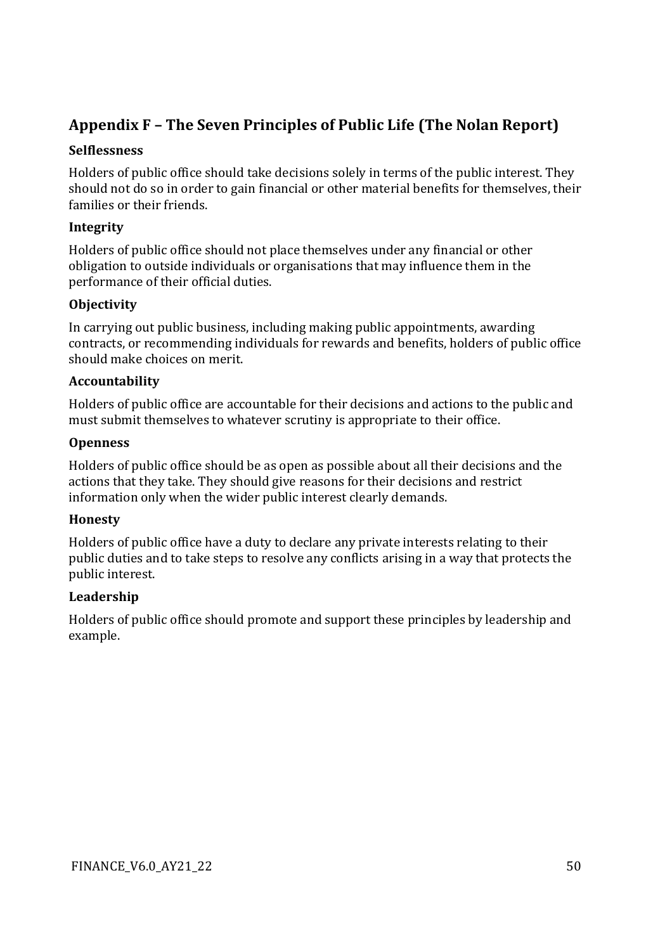## <span id="page-49-0"></span>**Appendix F – The Seven Principles of Public Life (The Nolan Report)**

#### **Selflessness**

Holders of public office should take decisions solely in terms of the public interest. They should not do so in order to gain financial or other material benefits for themselves, their families or their friends.

#### **Integrity**

Holders of public office should not place themselves under any financial or other obligation to outside individuals or organisations that may influence them in the performance of their official duties.

#### **Objectivity**

In carrying out public business, including making public appointments, awarding contracts, or recommending individuals for rewards and benefits, holders of public office should make choices on merit.

#### **Accountability**

Holders of public office are accountable for their decisions and actions to the public and must submit themselves to whatever scrutiny is appropriate to their office.

#### **Openness**

Holders of public office should be as open as possible about all their decisions and the actions that they take. They should give reasons for their decisions and restrict information only when the wider public interest clearly demands.

#### **Honesty**

Holders of public office have a duty to declare any private interests relating to their public duties and to take steps to resolve any conflicts arising in a way that protects the public interest.

#### **Leadership**

Holders of public office should promote and support these principles by leadership and example.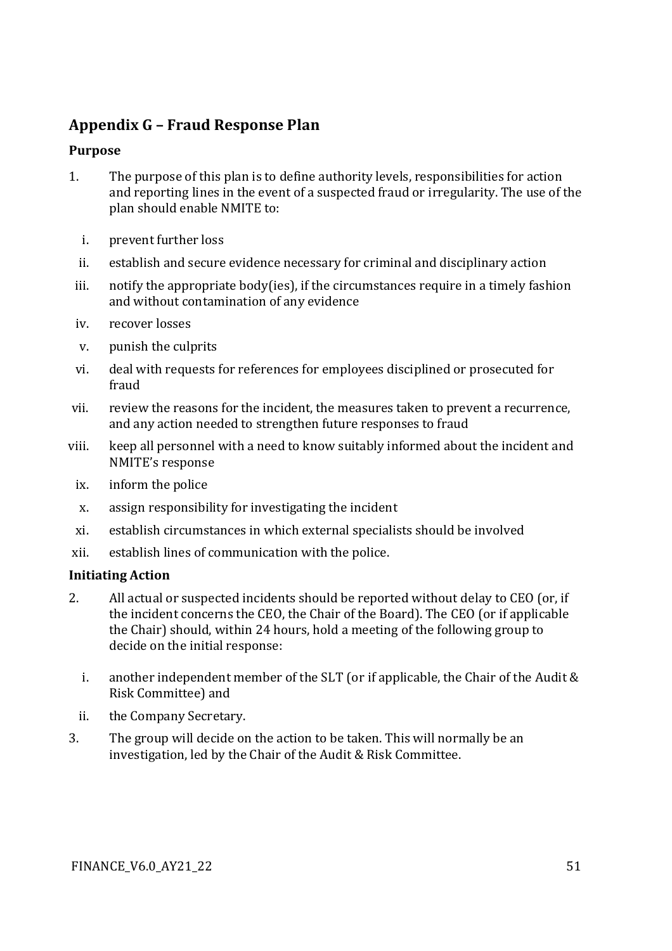## <span id="page-50-0"></span>**Appendix G – Fraud Response Plan**

#### **Purpose**

- 1. The purpose of this plan is to define authority levels, responsibilities for action and reporting lines in the event of a suspected fraud or irregularity. The use of the plan should enable NMITE to:
	- i. prevent further loss
	- ii. establish and secure evidence necessary for criminal and disciplinary action
- iii. notify the appropriate body(ies), if the circumstances require in a timely fashion and without contamination of any evidence
- iv. recover losses
- v. punish the culprits
- vi. deal with requests for references for employees disciplined or prosecuted for fraud
- vii. review the reasons for the incident, the measures taken to prevent a recurrence, and any action needed to strengthen future responses to fraud
- viii. keep all personnel with a need to know suitably informed about the incident and NMITE's response
	- ix. inform the police
	- x. assign responsibility for investigating the incident
	- xi. establish circumstances in which external specialists should be involved
- xii. establish lines of communication with the police.

#### **Initiating Action**

- 2. All actual or suspected incidents should be reported without delay to CEO (or, if the incident concerns the CEO, the Chair of the Board). The CEO (or if applicable the Chair) should, within 24 hours, hold a meeting of the following group to decide on the initial response:
	- i. another independent member of the SLT (or if applicable, the Chair of the Audit & Risk Committee) and
	- ii. the Company Secretary.
- 3. The group will decide on the action to be taken. This will normally be an investigation, led by the Chair of the Audit & Risk Committee.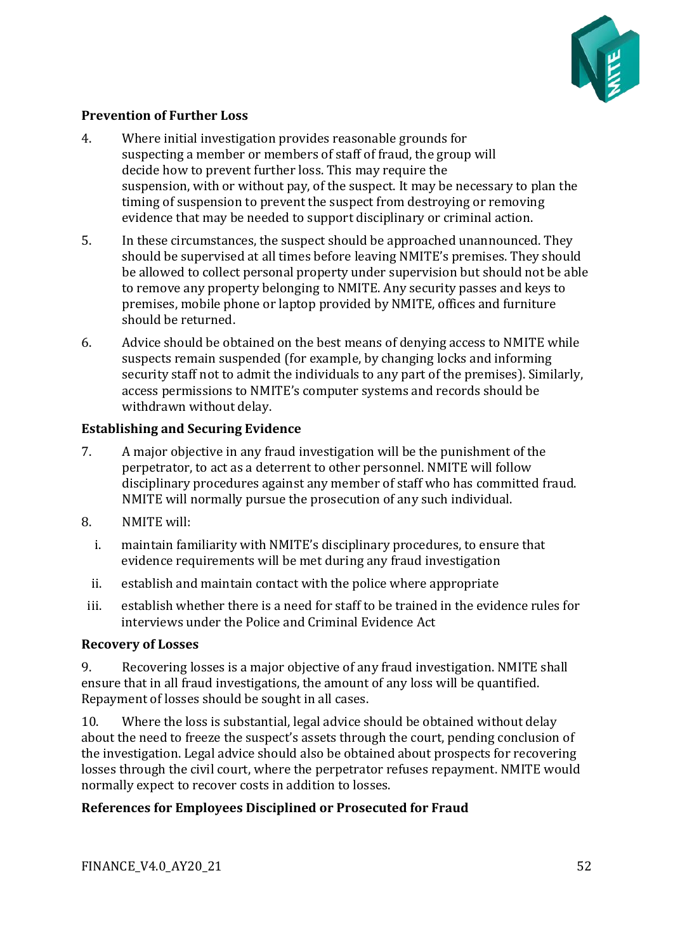

#### **Prevention of Further Loss**

- 4. Where initial investigation provides reasonable grounds for suspecting a member or members of staff of fraud, the group will decide how to prevent further loss. This may require the suspension, with or without pay, of the suspect. It may be necessary to plan the timing of suspension to prevent the suspect from destroying or removing evidence that may be needed to support disciplinary or criminal action.
- 5. In these circumstances, the suspect should be approached unannounced. They should be supervised at all times before leaving NMITE's premises. They should be allowed to collect personal property under supervision but should not be able to remove any property belonging to NMITE. Any security passes and keys to premises, mobile phone or laptop provided by NMITE, offices and furniture should be returned.
- 6. Advice should be obtained on the best means of denying access to NMITE while suspects remain suspended (for example, by changing locks and informing security staff not to admit the individuals to any part of the premises). Similarly, access permissions to NMITE's computer systems and records should be withdrawn without delay.

#### **Establishing and Securing Evidence**

- 7. A major objective in any fraud investigation will be the punishment of the perpetrator, to act as a deterrent to other personnel. NMITE will follow disciplinary procedures against any member of staff who has committed fraud. NMITE will normally pursue the prosecution of any such individual.
- 8. NMITE will:
	- i. maintain familiarity with NMITE's disciplinary procedures, to ensure that evidence requirements will be met during any fraud investigation
	- ii. establish and maintain contact with the police where appropriate
- iii. establish whether there is a need for staff to be trained in the evidence rules for interviews under the Police and Criminal Evidence Act

#### **Recovery of Losses**

9. Recovering losses is a major objective of any fraud investigation. NMITE shall ensure that in all fraud investigations, the amount of any loss will be quantified. Repayment of losses should be sought in all cases.

10. Where the loss is substantial, legal advice should be obtained without delay about the need to freeze the suspect's assets through the court, pending conclusion of the investigation. Legal advice should also be obtained about prospects for recovering losses through the civil court, where the perpetrator refuses repayment. NMITE would normally expect to recover costs in addition to losses.

#### **References for Employees Disciplined or Prosecuted for Fraud**